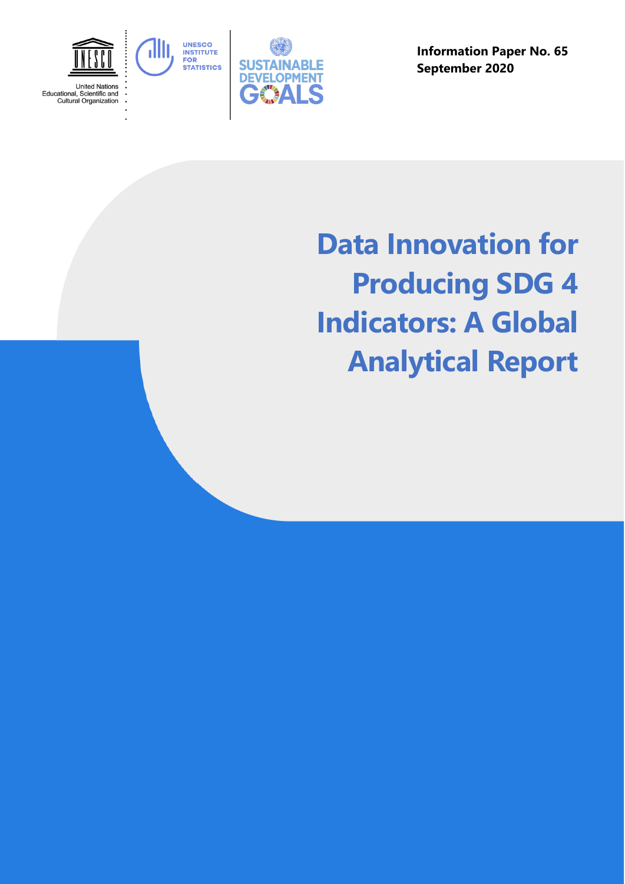

**Information Paper No. 65 September 2020** 

# **Data Innovation for Producing SDG 4 Indicators: A Global Analytical Report**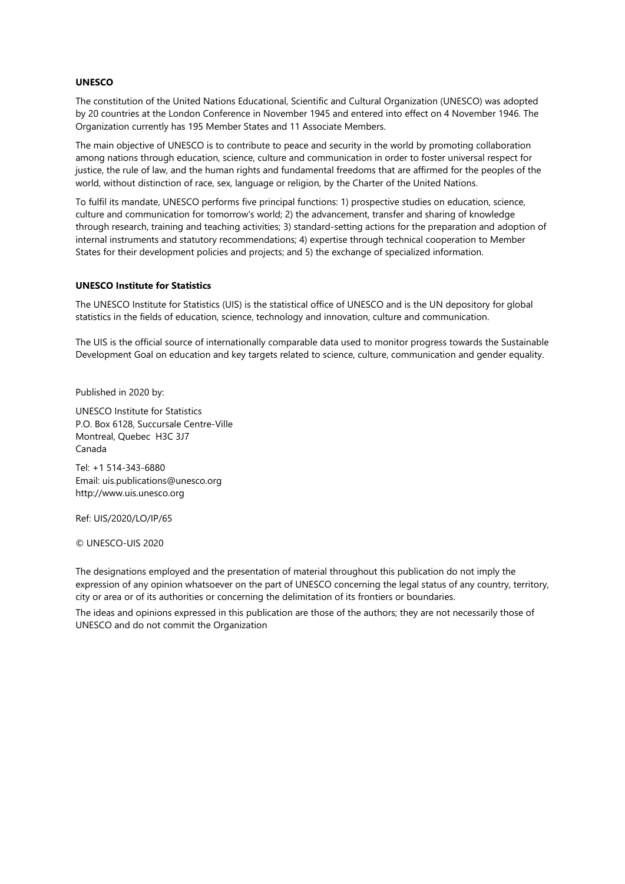#### **UNESCO**

The constitution of the United Nations Educational, Scientific and Cultural Organization (UNESCO) was adopted by 20 countries at the London Conference in November 1945 and entered into effect on 4 November 1946. The Organization currently has 195 Member States and 11 Associate Members.

The main objective of UNESCO is to contribute to peace and security in the world by promoting collaboration among nations through education, science, culture and communication in order to foster universal respect for justice, the rule of law, and the human rights and fundamental freedoms that are affirmed for the peoples of the world, without distinction of race, sex, language or religion, by the Charter of the United Nations.

To fulfil its mandate, UNESCO performs five principal functions: 1) prospective studies on education, science, culture and communication for tomorrow's world; 2) the advancement, transfer and sharing of knowledge through research, training and teaching activities; 3) standard-setting actions for the preparation and adoption of internal instruments and statutory recommendations; 4) expertise through technical cooperation to Member States for their development policies and projects; and 5) the exchange of specialized information.

#### **UNESCO Institute for Statistics**

The UNESCO Institute for Statistics (UIS) is the statistical office of UNESCO and is the UN depository for global statistics in the fields of education, science, technology and innovation, culture and communication.

The UIS is the official source of internationally comparable data used to monitor progress towards the Sustainable Development Goal on education and key targets related to science, culture, communication and gender equality.

Published in 2020 by:

UNESCO Institute for Statistics P.O. Box 6128, Succursale Centre-Ville Montreal, Quebec H3C 3J7 Canada

Tel: +1 514-343-6880 Email: uis.publications@unesco.org http://www.uis.unesco.org

Ref: UIS/2020/LO/IP/65

© UNESCO-UIS 2020

The designations employed and the presentation of material throughout this publication do not imply the expression of any opinion whatsoever on the part of UNESCO concerning the legal status of any country, territory, city or area or of its authorities or concerning the delimitation of its frontiers or boundaries.

The ideas and opinions expressed in this publication are those of the authors; they are not necessarily those of UNESCO and do not commit the Organization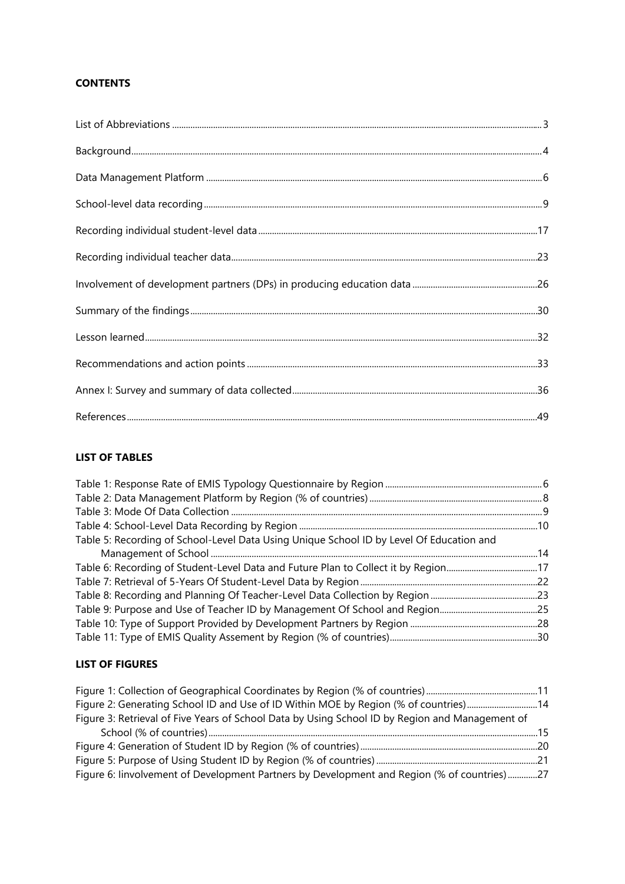# **CONTENTS**

#### **LIST OF TABLES**

| Table 5: Recording of School-Level Data Using Unique School ID by Level Of Education and |  |
|------------------------------------------------------------------------------------------|--|
|                                                                                          |  |
|                                                                                          |  |
|                                                                                          |  |
|                                                                                          |  |
|                                                                                          |  |
|                                                                                          |  |
|                                                                                          |  |

## **LIST OF FIGURES**

| Figure 2: Generating School ID and Use of ID Within MOE by Region (% of countries)14            |  |
|-------------------------------------------------------------------------------------------------|--|
| Figure 3: Retrieval of Five Years of School Data by Using School ID by Region and Management of |  |
|                                                                                                 |  |
|                                                                                                 |  |
|                                                                                                 |  |
| Figure 6: linvolvement of Development Partners by Development and Region (% of countries) 27    |  |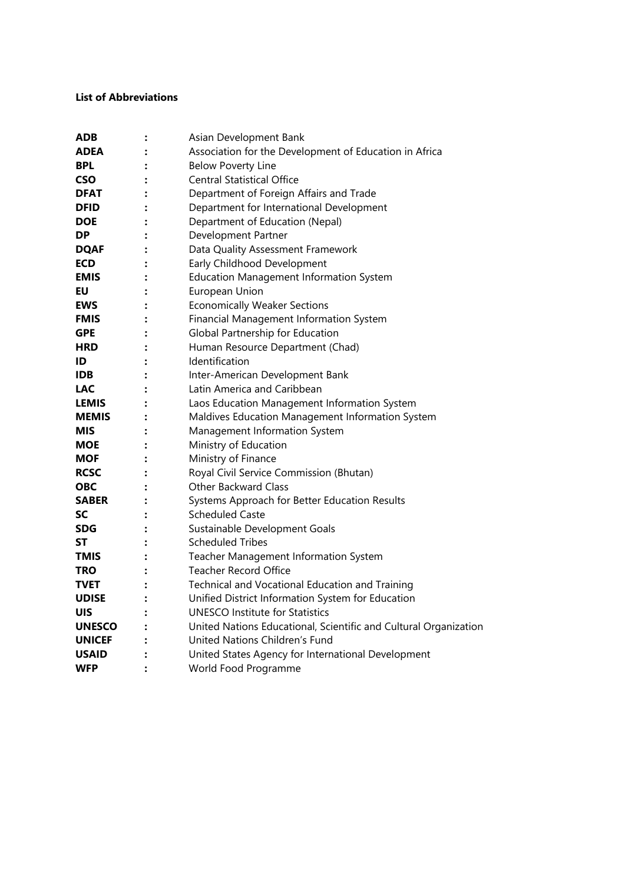#### <span id="page-3-0"></span>**List of Abbreviations**

<span id="page-3-1"></span>

| <b>ADB</b>    |                | Asian Development Bank                                           |
|---------------|----------------|------------------------------------------------------------------|
| ADEA          |                | Association for the Development of Education in Africa           |
| <b>BPL</b>    |                | <b>Below Poverty Line</b>                                        |
| <b>CSO</b>    |                | <b>Central Statistical Office</b>                                |
| <b>DFAT</b>   |                | Department of Foreign Affairs and Trade                          |
| <b>DFID</b>   |                | Department for International Development                         |
| <b>DOE</b>    |                | Department of Education (Nepal)                                  |
| <b>DP</b>     |                | Development Partner                                              |
| <b>DQAF</b>   |                | Data Quality Assessment Framework                                |
| <b>ECD</b>    |                | Early Childhood Development                                      |
| <b>EMIS</b>   |                | <b>Education Management Information System</b>                   |
| EU            |                | European Union                                                   |
| <b>EWS</b>    |                | <b>Economically Weaker Sections</b>                              |
| <b>FMIS</b>   |                | Financial Management Information System                          |
| <b>GPE</b>    |                | Global Partnership for Education                                 |
| <b>HRD</b>    |                | Human Resource Department (Chad)                                 |
| ID            | $\ddot{\cdot}$ | Identification                                                   |
| <b>IDB</b>    |                | Inter-American Development Bank                                  |
| <b>LAC</b>    |                | Latin America and Caribbean                                      |
| LEMIS         |                | Laos Education Management Information System                     |
| <b>MEMIS</b>  |                | Maldives Education Management Information System                 |
| <b>MIS</b>    |                | Management Information System                                    |
| <b>MOE</b>    |                | Ministry of Education                                            |
| <b>MOF</b>    |                | Ministry of Finance                                              |
| <b>RCSC</b>   |                | Royal Civil Service Commission (Bhutan)                          |
| <b>OBC</b>    |                | <b>Other Backward Class</b>                                      |
| <b>SABER</b>  |                | Systems Approach for Better Education Results                    |
| SC            |                | <b>Scheduled Caste</b>                                           |
| SDG           |                | Sustainable Development Goals                                    |
| ST            |                | <b>Scheduled Tribes</b>                                          |
| <b>TMIS</b>   |                | Teacher Management Information System                            |
| <b>TRO</b>    |                | <b>Teacher Record Office</b>                                     |
| TVET          |                | Technical and Vocational Education and Training                  |
| <b>UDISE</b>  |                | Unified District Information System for Education                |
| <b>UIS</b>    |                | <b>UNESCO Institute for Statistics</b>                           |
| <b>UNESCO</b> |                | United Nations Educational, Scientific and Cultural Organization |
| <b>UNICEF</b> |                | United Nations Children's Fund                                   |
| <b>USAID</b>  |                | United States Agency for International Development               |
| <b>WFP</b>    |                | World Food Programme                                             |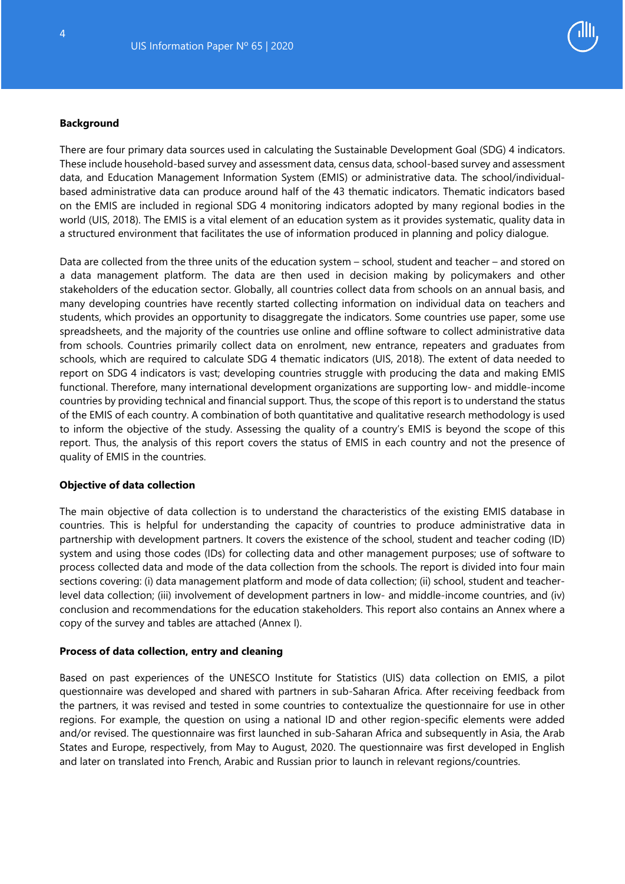

#### **Background**

There are four primary data sources used in calculating the Sustainable Development Goal (SDG) 4 indicators. These include household-based survey and assessment data, census data, school-based survey and assessment data, and Education Management Information System (EMIS) or administrative data. The school/individualbased administrative data can produce around half of the 43 thematic indicators. Thematic indicators based on the EMIS are included in regional SDG 4 monitoring indicators adopted by many regional bodies in the world (UIS, 2018). The EMIS is a vital element of an education system as it provides systematic, quality data in a structured environment that facilitates the use of information produced in planning and policy dialogue.

Data are collected from the three units of the education system – school, student and teacher – and stored on a data management platform. The data are then used in decision making by policymakers and other stakeholders of the education sector. Globally, all countries collect data from schools on an annual basis, and many developing countries have recently started collecting information on individual data on teachers and students, which provides an opportunity to disaggregate the indicators. Some countries use paper, some use spreadsheets, and the majority of the countries use online and offline software to collect administrative data from schools. Countries primarily collect data on enrolment, new entrance, repeaters and graduates from schools, which are required to calculate SDG 4 thematic indicators (UIS, 2018). The extent of data needed to report on SDG 4 indicators is vast; developing countries struggle with producing the data and making EMIS functional. Therefore, many international development organizations are supporting low- and middle-income countries by providing technical and financial support. Thus, the scope of this report is to understand the status of the EMIS of each country. A combination of both quantitative and qualitative research methodology is used to inform the objective of the study. Assessing the quality of a country's EMIS is beyond the scope of this report. Thus, the analysis of this report covers the status of EMIS in each country and not the presence of quality of EMIS in the countries.

#### **Objective of data collection**

The main objective of data collection is to understand the characteristics of the existing EMIS database in countries. This is helpful for understanding the capacity of countries to produce administrative data in partnership with development partners. It covers the existence of the school, student and teacher coding (ID) system and using those codes (IDs) for collecting data and other management purposes; use of software to process collected data and mode of the data collection from the schools. The report is divided into four main sections covering: (i) data management platform and mode of data collection; (ii) school, student and teacherlevel data collection; (iii) involvement of development partners in low- and middle-income countries, and (iv) conclusion and recommendations for the education stakeholders. This report also contains an Annex where a copy of the survey and tables are attached (Annex I).

#### **Process of data collection, entry and cleaning**

Based on past experiences of the UNESCO Institute for Statistics (UIS) data collection on EMIS, a pilot questionnaire was developed and shared with partners in sub-Saharan Africa. After receiving feedback from the partners, it was revised and tested in some countries to contextualize the questionnaire for use in other regions. For example, the question on using a national ID and other region-specific elements were added and/or revised. The questionnaire was first launched in sub-Saharan Africa and subsequently in Asia, the Arab States and Europe, respectively, from May to August, 2020. The questionnaire was first developed in English and later on translated into French, Arabic and Russian prior to launch in relevant regions/countries.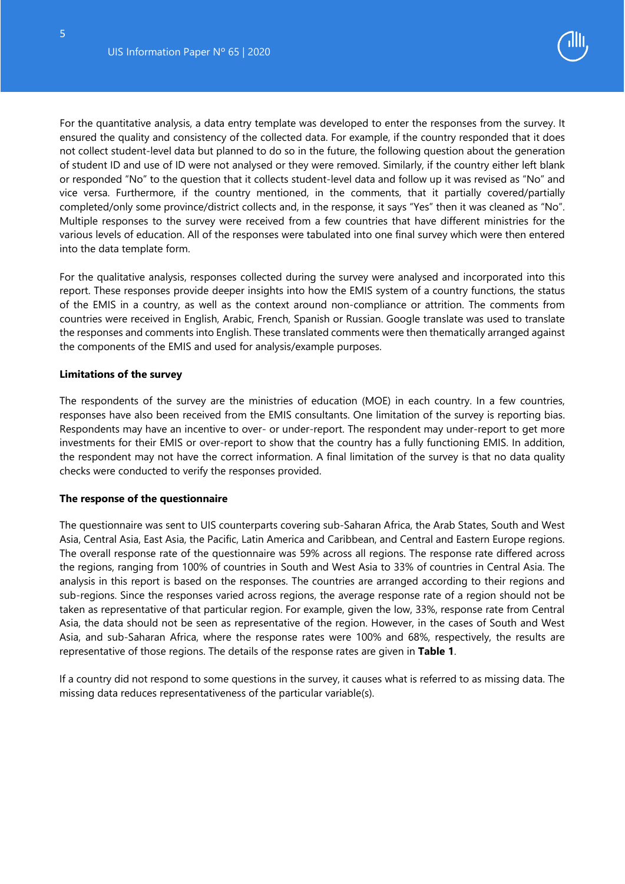

For the quantitative analysis, a data entry template was developed to enter the responses from the survey. It ensured the quality and consistency of the collected data. For example, if the country responded that it does not collect student-level data but planned to do so in the future, the following question about the generation of student ID and use of ID were not analysed or they were removed. Similarly, if the country either left blank or responded "No" to the question that it collects student-level data and follow up it was revised as "No" and vice versa. Furthermore, if the country mentioned, in the comments, that it partially covered/partially completed/only some province/district collects and, in the response, it says "Yes" then it was cleaned as "No". Multiple responses to the survey were received from a few countries that have different ministries for the various levels of education. All of the responses were tabulated into one final survey which were then entered into the data template form.

For the qualitative analysis, responses collected during the survey were analysed and incorporated into this report. These responses provide deeper insights into how the EMIS system of a country functions, the status of the EMIS in a country, as well as the context around non-compliance or attrition. The comments from countries were received in English, Arabic, French, Spanish or Russian. Google translate was used to translate the responses and comments into English. These translated comments were then thematically arranged against the components of the EMIS and used for analysis/example purposes.

#### **Limitations of the survey**

The respondents of the survey are the ministries of education (MOE) in each country. In a few countries, responses have also been received from the EMIS consultants. One limitation of the survey is reporting bias. Respondents may have an incentive to over- or under-report. The respondent may under-report to get more investments for their EMIS or over-report to show that the country has a fully functioning EMIS. In addition, the respondent may not have the correct information. A final limitation of the survey is that no data quality checks were conducted to verify the responses provided.

#### **The response of the questionnaire**

The questionnaire was sent to UIS counterparts covering sub-Saharan Africa, the Arab States, South and West Asia, Central Asia, East Asia, the Pacific, Latin America and Caribbean, and Central and Eastern Europe regions. The overall response rate of the questionnaire was 59% across all regions. The response rate differed across the regions, ranging from 100% of countries in South and West Asia to 33% of countries in Central Asia. The analysis in this report is based on the responses. The countries are arranged according to their regions and sub-regions. Since the responses varied across regions, the average response rate of a region should not be taken as representative of that particular region. For example, given the low, 33%, response rate from Central Asia, the data should not be seen as representative of the region. However, in the cases of South and West Asia, and sub-Saharan Africa, where the response rates were 100% and 68%, respectively, the results are representative of those regions. The details of the response rates are given in **Table 1**.

If a country did not respond to some questions in the survey, it causes what is referred to as missing data. The missing data reduces representativeness of the particular variable(s).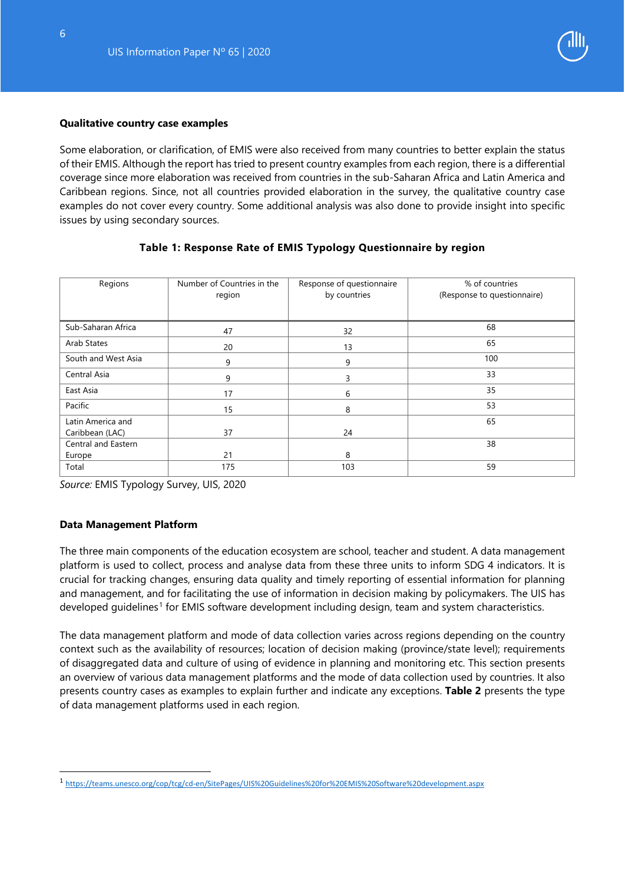

#### **Qualitative country case examples**

Some elaboration, or clarification, of EMIS were also received from many countries to better explain the status of their EMIS. Although the report has tried to present country examples from each region, there is a differential coverage since more elaboration was received from countries in the sub-Saharan Africa and Latin America and Caribbean regions. Since, not all countries provided elaboration in the survey, the qualitative country case examples do not cover every country. Some additional analysis was also done to provide insight into specific issues by using secondary sources.

| Regions             | Number of Countries in the<br>region | Response of questionnaire<br>by countries | % of countries<br>(Response to questionnaire) |
|---------------------|--------------------------------------|-------------------------------------------|-----------------------------------------------|
| Sub-Saharan Africa  | 47                                   | 32                                        | 68                                            |
| Arab States         | 20                                   | 13                                        | 65                                            |
| South and West Asia | 9                                    | 9                                         | 100                                           |
| Central Asia        | 9                                    | 3                                         | 33                                            |
| East Asia           | 17                                   | 6                                         | 35                                            |
| Pacific             | 15                                   | 8                                         | 53                                            |
| Latin America and   |                                      |                                           | 65                                            |
| Caribbean (LAC)     | 37                                   | 24                                        |                                               |
| Central and Eastern |                                      |                                           | 38                                            |
| Europe              | 21                                   | 8                                         |                                               |
| Total               | 175                                  | 103                                       | 59                                            |

#### **Table 1: Response Rate of EMIS Typology Questionnaire by region**

<span id="page-6-0"></span>*Source:* EMIS Typology Survey, UIS, 2020

#### **Data Management Platform**

j

The three main components of the education ecosystem are school, teacher and student. A data management platform is used to collect, process and analyse data from these three units to inform SDG 4 indicators. It is crucial for tracking changes, ensuring data quality and timely reporting of essential information for planning and management, and for facilitating the use of information in decision making by policymakers. The UIS has developed quidelines<sup>[1](#page-6-1)</sup> for EMIS software development including design, team and system characteristics.

The data management platform and mode of data collection varies across regions depending on the country context such as the availability of resources; location of decision making (province/state level); requirements of disaggregated data and culture of using of evidence in planning and monitoring etc. This section presents an overview of various data management platforms and the mode of data collection used by countries. It also presents country cases as examples to explain further and indicate any exceptions. **Table 2** presents the type of data management platforms used in each region.

<span id="page-6-1"></span><sup>1</sup> <https://teams.unesco.org/cop/tcg/cd-en/SitePages/UIS%20Guidelines%20for%20EMIS%20Software%20development.aspx>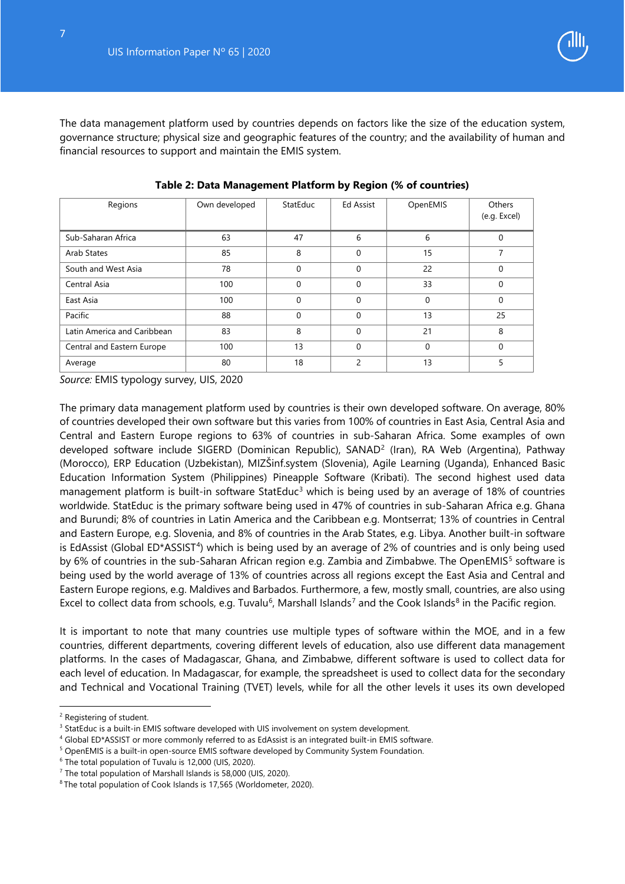

The data management platform used by countries depends on factors like the size of the education system, governance structure; physical size and geographic features of the country; and the availability of human and financial resources to support and maintain the EMIS system.

| Regions                     | Own developed | StatEduc | <b>Ed Assist</b> | OpenEMIS | Others<br>(e.g. Excel) |
|-----------------------------|---------------|----------|------------------|----------|------------------------|
| Sub-Saharan Africa          | 63            | 47       | 6                | 6        | $\Omega$               |
| Arab States                 | 85            | 8        | $\Omega$         | 15       | 7                      |
| South and West Asia         | 78            | $\Omega$ | $\Omega$         | 22       | $\Omega$               |
| Central Asia                | 100           | $\Omega$ | $\Omega$         | 33       | $\Omega$               |
| East Asia                   | 100           | $\Omega$ | $\Omega$         | 0        | $\Omega$               |
| Pacific                     | 88            | $\Omega$ | $\Omega$         | 13       | 25                     |
| Latin America and Caribbean | 83            | 8        | $\Omega$         | 21       | 8                      |
| Central and Eastern Europe  | 100           | 13       | $\Omega$         | 0        | $\Omega$               |
| Average                     | 80            | 18       | $\mathfrak{p}$   | 13       | 5                      |

**Table 2: Data Management Platform by Region (% of countries)** 

*Source:* EMIS typology survey, UIS, 2020

The primary data management platform used by countries is their own developed software. On average, 80% of countries developed their own software but this varies from 100% of countries in East Asia, Central Asia and Central and Eastern Europe regions to 63% of countries in sub-Saharan Africa. Some examples of own developed software include SIGERD (Dominican Republic), SANAD<sup>[2](#page-7-0)</sup> (Iran), RA Web (Argentina), Pathway (Morocco), ERP Education (Uzbekistan), MIZŠinf.system (Slovenia), Agile Learning (Uganda), Enhanced Basic Education Information System (Philippines) Pineapple Software (Kribati). The second highest used data management platform is built-in software StatEduc<sup>[3](#page-7-1)</sup> which is being used by an average of 18% of countries worldwide. StatEduc is the primary software being used in 47% of countries in sub-Saharan Africa e.g. Ghana and Burundi; 8% of countries in Latin America and the Caribbean e.g. Montserrat; 13% of countries in Central and Eastern Europe, e.g. Slovenia, and 8% of countries in the Arab States, e.g. Libya. Another built-in software is EdAssist (Global ED\*ASSIST<sup>4</sup>) which is being used by an average of 2% of countries and is only being used by 6% of countries in the sub-Saharan African region e.g. Zambia and Zimbabwe. The OpenEMIS<sup>[5](#page-7-3)</sup> software is being used by the world average of 13% of countries across all regions except the East Asia and Central and Eastern Europe regions, e.g. Maldives and Barbados. Furthermore, a few, mostly small, countries, are also using Excel to collect data from schools, e.g. Tuvalu<sup>6</sup>, Marshall Islands<sup>[7](#page-7-5)</sup> and the Cook Islands<sup>8</sup> in the Pacific region.

It is important to note that many countries use multiple types of software within the MOE, and in a few countries, different departments, covering different levels of education, also use different data management platforms. In the cases of Madagascar, Ghana, and Zimbabwe, different software is used to collect data for each level of education. In Madagascar, for example, the spreadsheet is used to collect data for the secondary and Technical and Vocational Training (TVET) levels, while for all the other levels it uses its own developed

j

<span id="page-7-0"></span><sup>2</sup> Registering of student.

<span id="page-7-1"></span><sup>&</sup>lt;sup>3</sup> StatEduc is a built-in EMIS software developed with UIS involvement on system development.

<span id="page-7-2"></span><sup>4</sup> Global ED\*ASSIST or more commonly referred to as EdAssist is an integrated built-in EMIS software.

<span id="page-7-3"></span><sup>5</sup> OpenEMIS is a built-in open-source EMIS software developed by Community System Foundation.

<span id="page-7-4"></span><sup>6</sup> The total population of Tuvalu is 12,000 (UIS, 2020).

<span id="page-7-6"></span><span id="page-7-5"></span><sup>&</sup>lt;sup>7</sup> The total population of Marshall Islands is 58,000 (UIS, 2020).<br><sup>8</sup> The total population of Cook Islands is 17,565 (Worldometer, 2020).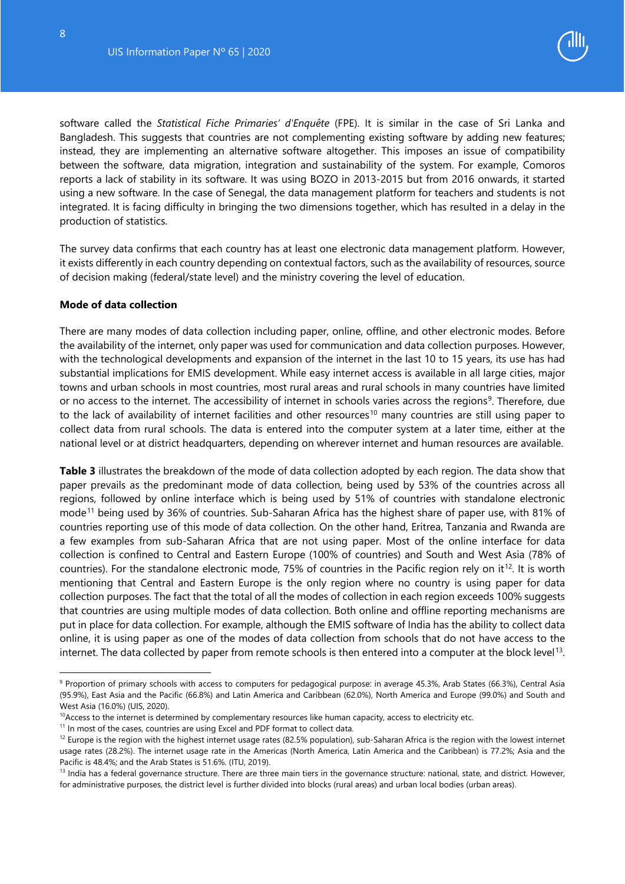-

<span id="page-8-0"></span>

software called the *Statistical Fiche Primaries' d'Enquête* (FPE). It is similar in the case of Sri Lanka and Bangladesh. This suggests that countries are not complementing existing software by adding new features; instead, they are implementing an alternative software altogether. This imposes an issue of compatibility between the software, data migration, integration and sustainability of the system. For example, Comoros reports a lack of stability in its software. It was using BOZO in 2013-2015 but from 2016 onwards, it started using a new software. In the case of Senegal, the data management platform for teachers and students is not integrated. It is facing difficulty in bringing the two dimensions together, which has resulted in a delay in the production of statistics.

The survey data confirms that each country has at least one electronic data management platform. However, it exists differently in each country depending on contextual factors, such as the availability of resources, source of decision making (federal/state level) and the ministry covering the level of education.

#### **Mode of data collection**

There are many modes of data collection including paper, online, offline, and other electronic modes. Before the availability of the internet, only paper was used for communication and data collection purposes. However, with the technological developments and expansion of the internet in the last 10 to 15 years, its use has had substantial implications for EMIS development. While easy internet access is available in all large cities, major towns and urban schools in most countries, most rural areas and rural schools in many countries have limited or no access to the internet. The accessibility of internet in schools varies across the regions<sup>9</sup>. Therefore, due to the lack of availability of internet facilities and other resources<sup>[10](#page-8-2)</sup> many countries are still using paper to collect data from rural schools. The data is entered into the computer system at a later time, either at the national level or at district headquarters, depending on wherever internet and human resources are available.

**Table 3** illustrates the breakdown of the mode of data collection adopted by each region. The data show that paper prevails as the predominant mode of data collection, being used by 53% of the countries across all regions, followed by online interface which is being used by 51% of countries with standalone electronic mode[11](#page-8-3) being used by 36% of countries. Sub-Saharan Africa has the highest share of paper use, with 81% of countries reporting use of this mode of data collection. On the other hand, Eritrea, Tanzania and Rwanda are a few examples from sub-Saharan Africa that are not using paper. Most of the online interface for data collection is confined to Central and Eastern Europe (100% of countries) and South and West Asia (78% of countries). For the standalone electronic mode, 75% of countries in the Pacific region rely on it<sup>12</sup>. It is worth mentioning that Central and Eastern Europe is the only region where no country is using paper for data collection purposes. The fact that the total of all the modes of collection in each region exceeds 100% suggests that countries are using multiple modes of data collection. Both online and offline reporting mechanisms are put in place for data collection. For example, although the EMIS software of India has the ability to collect data online, it is using paper as one of the modes of data collection from schools that do not have access to the internet. The data collected by paper from remote schools is then entered into a computer at the block level<sup>[13](#page-8-5)</sup>.

<span id="page-8-1"></span><sup>9</sup> Proportion of primary schools with access to computers for pedagogical purpose: in average 45.3%, Arab States (66.3%), Central Asia (95.9%), East Asia and the Pacific (66.8%) and Latin America and Caribbean (62.0%), North America and Europe (99.0%) and South and West Asia (16.0%) (UIS, 2020).

<span id="page-8-2"></span> $10A$ ccess to the internet is determined by complementary resources like human capacity, access to electricity etc.

<span id="page-8-3"></span><sup>&</sup>lt;sup>11</sup> In most of the cases, countries are using Excel and PDF format to collect data.

<span id="page-8-4"></span> $12$  Europe is the region with the highest internet usage rates (82.5% population), sub-Saharan Africa is the region with the lowest internet usage rates (28.2%). The internet usage rate in the Americas (North America, Latin America and the Caribbean) is 77.2%; Asia and the

<span id="page-8-5"></span>Pacific is 48.4%; and the Arab States is 51.6%. (ITU, 2019). 13 India has a federal are structure are three main tiers in the governance structure: national, state, and district. However, 13 India has a federal governance for administrative purposes, the district level is further divided into blocks (rural areas) and urban local bodies (urban areas).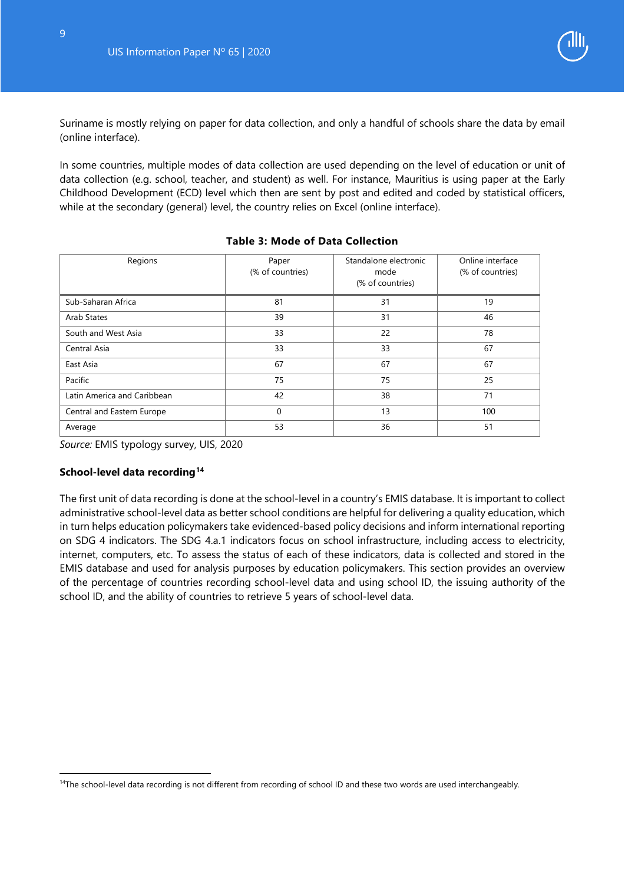

Suriname is mostly relying on paper for data collection, and only a handful of schools share the data by email (online interface).

In some countries, multiple modes of data collection are used depending on the level of education or unit of data collection (e.g. school, teacher, and student) as well. For instance, Mauritius is using paper at the Early Childhood Development (ECD) level which then are sent by post and edited and coded by statistical officers, while at the secondary (general) level, the country relies on Excel (online interface).

<span id="page-9-0"></span>

| Regions                     | Paper<br>(% of countries) | Standalone electronic<br>mode<br>(% of countries) | Online interface<br>(% of countries) |
|-----------------------------|---------------------------|---------------------------------------------------|--------------------------------------|
| Sub-Saharan Africa          | 81                        | 31                                                | 19                                   |
| Arab States                 | 39                        | 31                                                | 46                                   |
| South and West Asia         | 33                        | 22                                                | 78                                   |
| Central Asia                | 33                        | 33                                                | 67                                   |
| East Asia                   | 67                        | 67                                                | 67                                   |
| Pacific                     | 75                        | 75                                                | 25                                   |
| Latin America and Caribbean | 42                        | 38                                                | 71                                   |
| Central and Eastern Europe  | 0                         | 13                                                | 100                                  |
| Average                     | 53                        | 36                                                | 51                                   |

#### **Table 3: Mode of Data Collection**

*Source:* EMIS typology survey, UIS, 2020

#### <span id="page-9-1"></span>**School-level data recording[14](#page-9-2)**

-

The first unit of data recording is done at the school-level in a country's EMIS database. It is important to collect administrative school-level data as better school conditions are helpful for delivering a quality education, which in turn helps education policymakers take evidenced-based policy decisions and inform international reporting on SDG 4 indicators. The SDG 4.a.1 indicators focus on school infrastructure, including access to electricity, internet, computers, etc. To assess the status of each of these indicators, data is collected and stored in the EMIS database and used for analysis purposes by education policymakers. This section provides an overview of the percentage of countries recording school-level data and using school ID, the issuing authority of the school ID, and the ability of countries to retrieve 5 years of school-level data.

<span id="page-9-2"></span><sup>&</sup>lt;sup>14</sup>The school-level data recording is not different from recording of school ID and these two words are used interchangeably.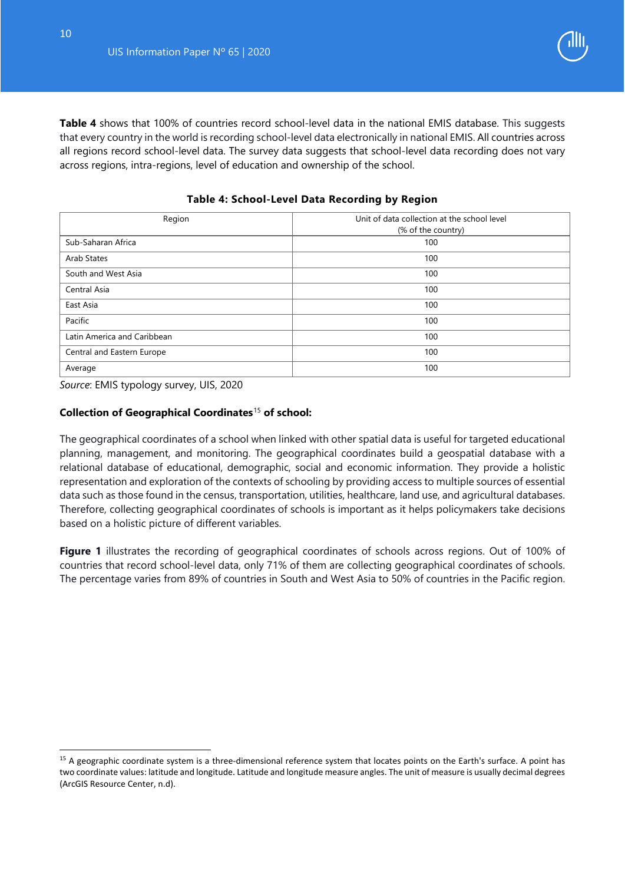

**Table 4** shows that 100% of countries record school-level data in the national EMIS database. This suggests that every country in the world is recording school-level data electronically in national EMIS. All countries across all regions record school-level data. The survey data suggests that school-level data recording does not vary across regions, intra-regions, level of education and ownership of the school.

<span id="page-10-0"></span>

| Region                      | Unit of data collection at the school level<br>(% of the country) |
|-----------------------------|-------------------------------------------------------------------|
| Sub-Saharan Africa          | 100                                                               |
| Arab States                 | 100                                                               |
| South and West Asia         | 100                                                               |
| Central Asia                | 100                                                               |
| East Asia                   | 100                                                               |
| Pacific                     | 100                                                               |
| Latin America and Caribbean | 100                                                               |
| Central and Eastern Europe  | 100                                                               |
| Average                     | 100                                                               |

**Table 4: School-Level Data Recording by Region**

*Source*: EMIS typology survey, UIS, 2020

#### **Collection of Geographical Coordinates**[15](#page-10-1) **of school:**

The geographical coordinates of a school when linked with other spatial data is useful for targeted educational planning, management, and monitoring. The geographical coordinates build a geospatial database with a relational database of educational, demographic, social and economic information. They provide a holistic representation and exploration of the contexts of schooling by providing access to multiple sources of essential data such as those found in the census, transportation, utilities, healthcare, land use, and agricultural databases. Therefore, collecting geographical coordinates of schools is important as it helps policymakers take decisions based on a holistic picture of different variables.

**Figure 1** illustrates the recording of geographical coordinates of schools across regions. Out of 100% of countries that record school-level data, only 71% of them are collecting geographical coordinates of schools. The percentage varies from 89% of countries in South and West Asia to 50% of countries in the Pacific region.

-

<span id="page-10-1"></span><sup>&</sup>lt;sup>15</sup> A geographic coordinate system is a three-dimensional reference system that locates points on the Earth's surface. A point has two coordinate values: latitude and longitude. Latitude and longitude measure angles. The unit of measure is usually decimal degrees (ArcGIS Resource Center, n.d).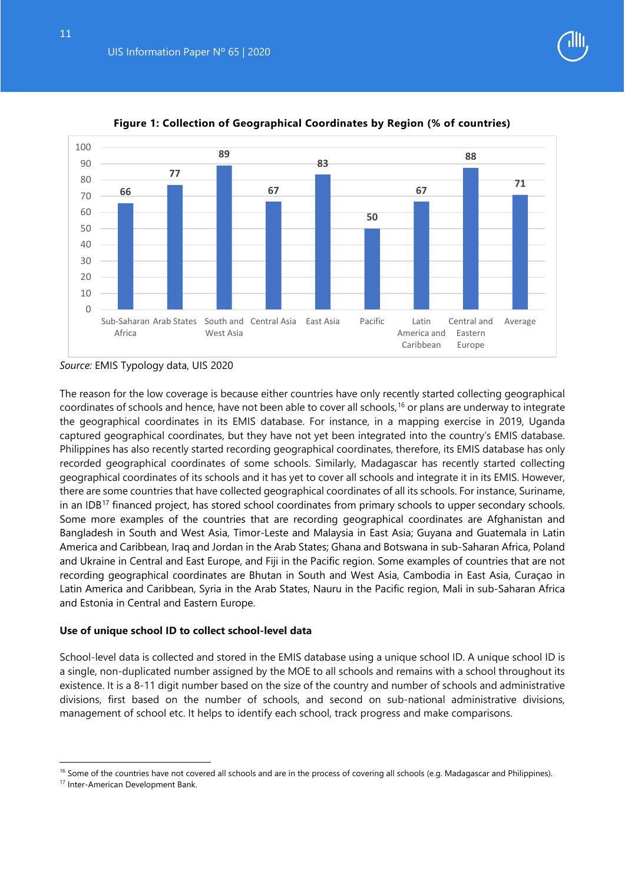

<span id="page-11-0"></span>

#### **Figure 1: Collection of Geographical Coordinates by Region (% of countries)**

#### *Source:* EMIS Typology data, UIS 2020

The reason for the low coverage is because either countries have only recently started collecting geographical coordinates of schools and hence, have not been able to cover all schools, [16](#page-11-1) or plans are underway to integrate the geographical coordinates in its EMIS database. For instance, in a mapping exercise in 2019, Uganda captured geographical coordinates, but they have not yet been integrated into the country's EMIS database. Philippines has also recently started recording geographical coordinates, therefore, its EMIS database has only recorded geographical coordinates of some schools. Similarly, Madagascar has recently started collecting geographical coordinates of its schools and it has yet to cover all schools and integrate it in its EMIS. However, there are some countries that have collected geographical coordinates of all its schools. For instance, Suriname, in an IDB<sup>[17](#page-11-2)</sup> financed project, has stored school coordinates from primary schools to upper secondary schools. Some more examples of the countries that are recording geographical coordinates are Afghanistan and Bangladesh in South and West Asia, Timor-Leste and Malaysia in East Asia; Guyana and Guatemala in Latin America and Caribbean, Iraq and Jordan in the Arab States; Ghana and Botswana in sub-Saharan Africa, Poland and Ukraine in Central and East Europe, and Fiji in the Pacific region. Some examples of countries that are not recording geographical coordinates are Bhutan in South and West Asia, Cambodia in East Asia, Curaçao in Latin America and Caribbean, Syria in the Arab States, Nauru in the Pacific region, Mali in sub-Saharan Africa and Estonia in Central and Eastern Europe.

#### **Use of unique school ID to collect school-level data**

School-level data is collected and stored in the EMIS database using a unique school ID. A unique school ID is a single, non-duplicated number assigned by the MOE to all schools and remains with a school throughout its existence. It is a 8-11 digit number based on the size of the country and number of schools and administrative divisions, first based on the number of schools, and second on sub-national administrative divisions, management of school etc. It helps to identify each school, track progress and make comparisons.

j

<span id="page-11-1"></span><sup>&</sup>lt;sup>16</sup> Some of the countries have not covered all schools and are in the process of covering all schools (e.g. Madagascar and Philippines).

<span id="page-11-2"></span><sup>17</sup> Inter-American Development Bank.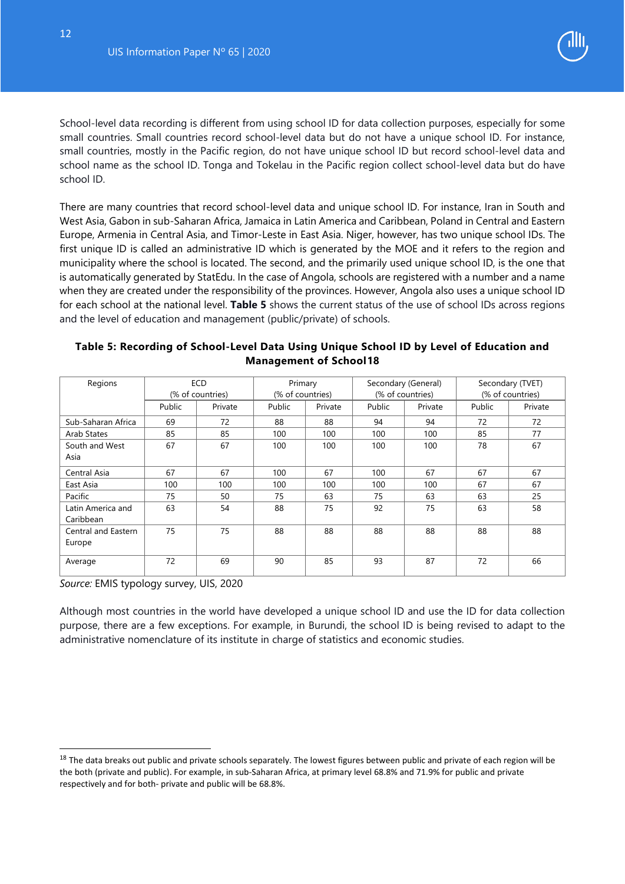

School-level data recording is different from using school ID for data collection purposes, especially for some small countries. Small countries record school-level data but do not have a unique school ID. For instance, small countries, mostly in the Pacific region, do not have unique school ID but record school-level data and school name as the school ID. Tonga and Tokelau in the Pacific region collect school-level data but do have school ID.

There are many countries that record school-level data and unique school ID. For instance, Iran in South and West Asia, Gabon in sub-Saharan Africa, Jamaica in Latin America and Caribbean, Poland in Central and Eastern Europe, Armenia in Central Asia, and Timor-Leste in East Asia. Niger, however, has two unique school IDs. The first unique ID is called an administrative ID which is generated by the MOE and it refers to the region and municipality where the school is located. The second, and the primarily used unique school ID, is the one that is automatically generated by StatEdu. In the case of Angola, schools are registered with a number and a name when they are created under the responsibility of the provinces. However, Angola also uses a unique school ID for each school at the national level. **Table 5** shows the current status of the use of school IDs across regions and the level of education and management (public/private) of schools.

#### **Table 5: Recording of School-Level Data Using Unique School ID by Level of Education and Management of School[18](#page-12-0)**

| Regions                        |        | <b>ECD</b><br>(% of countries) | Primary<br>(% of countries) |         |        | Secondary (General)<br>(% of countries) |        | Secondary (TVET)<br>(% of countries) |
|--------------------------------|--------|--------------------------------|-----------------------------|---------|--------|-----------------------------------------|--------|--------------------------------------|
|                                | Public | Private                        | Public                      | Private | Public | Private                                 | Public | Private                              |
| Sub-Saharan Africa             | 69     | 72                             | 88                          | 88      | 94     | 94                                      | 72     | 72                                   |
| Arab States                    | 85     | 85                             | 100                         | 100     | 100    | 100                                     | 85     | 77                                   |
| South and West                 | 67     | 67                             | 100                         | 100     | 100    | 100                                     | 78     | 67                                   |
| Asia                           |        |                                |                             |         |        |                                         |        |                                      |
| Central Asia                   | 67     | 67                             | 100                         | 67      | 100    | 67                                      | 67     | 67                                   |
| East Asia                      | 100    | 100                            | 100                         | 100     | 100    | 100                                     | 67     | 67                                   |
| Pacific                        | 75     | 50                             | 75                          | 63      | 75     | 63                                      | 63     | 25                                   |
| Latin America and<br>Caribbean | 63     | 54                             | 88                          | 75      | 92     | 75                                      | 63     | 58                                   |
| Central and Eastern<br>Europe  | 75     | 75                             | 88                          | 88      | 88     | 88                                      | 88     | 88                                   |
| Average                        | 72     | 69                             | 90                          | 85      | 93     | 87                                      | 72     | 66                                   |

*Source:* EMIS typology survey, UIS, 2020

-

Although most countries in the world have developed a unique school ID and use the ID for data collection purpose, there are a few exceptions. For example, in Burundi, the school ID is being revised to adapt to the administrative nomenclature of its institute in charge of statistics and economic studies.

<span id="page-12-0"></span><sup>&</sup>lt;sup>18</sup> The data breaks out public and private schools separately. The lowest figures between public and private of each region will be the both (private and public). For example, in sub-Saharan Africa, at primary level 68.8% and 71.9% for public and private respectively and for both- private and public will be 68.8%.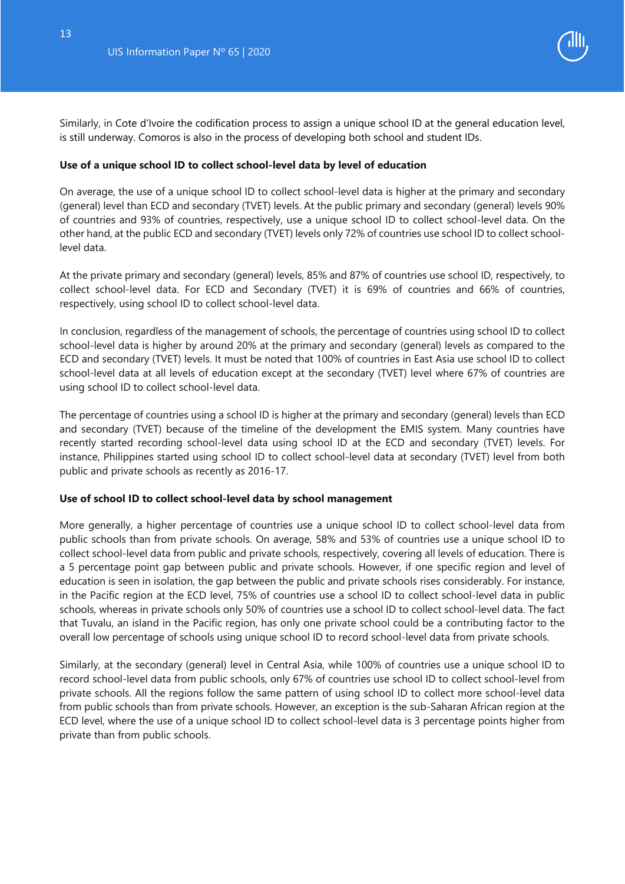

Similarly, in Cote d'Ivoire the codification process to assign a unique school ID at the general education level, is still underway. Comoros is also in the process of developing both school and student IDs.

#### **Use of a unique school ID to collect school-level data by level of education**

On average, the use of a unique school ID to collect school-level data is higher at the primary and secondary (general) level than ECD and secondary (TVET) levels. At the public primary and secondary (general) levels 90% of countries and 93% of countries, respectively, use a unique school ID to collect school-level data. On the other hand, at the public ECD and secondary (TVET) levels only 72% of countries use school ID to collect schoollevel data.

At the private primary and secondary (general) levels, 85% and 87% of countries use school ID, respectively, to collect school-level data. For ECD and Secondary (TVET) it is 69% of countries and 66% of countries, respectively, using school ID to collect school-level data.

In conclusion, regardless of the management of schools, the percentage of countries using school ID to collect school-level data is higher by around 20% at the primary and secondary (general) levels as compared to the ECD and secondary (TVET) levels. It must be noted that 100% of countries in East Asia use school ID to collect school-level data at all levels of education except at the secondary (TVET) level where 67% of countries are using school ID to collect school-level data.

The percentage of countries using a school ID is higher at the primary and secondary (general) levels than ECD and secondary (TVET) because of the timeline of the development the EMIS system. Many countries have recently started recording school-level data using school ID at the ECD and secondary (TVET) levels. For instance, Philippines started using school ID to collect school-level data at secondary (TVET) level from both public and private schools as recently as 2016-17.

#### **Use of school ID to collect school-level data by school management**

More generally, a higher percentage of countries use a unique school ID to collect school-level data from public schools than from private schools. On average, 58% and 53% of countries use a unique school ID to collect school-level data from public and private schools, respectively, covering all levels of education. There is a 5 percentage point gap between public and private schools. However, if one specific region and level of education is seen in isolation, the gap between the public and private schools rises considerably. For instance, in the Pacific region at the ECD level, 75% of countries use a school ID to collect school-level data in public schools, whereas in private schools only 50% of countries use a school ID to collect school-level data. The fact that Tuvalu, an island in the Pacific region, has only one private school could be a contributing factor to the overall low percentage of schools using unique school ID to record school-level data from private schools.

Similarly, at the secondary (general) level in Central Asia, while 100% of countries use a unique school ID to record school-level data from public schools, only 67% of countries use school ID to collect school-level from private schools. All the regions follow the same pattern of using school ID to collect more school-level data from public schools than from private schools. However, an exception is the sub-Saharan African region at the ECD level, where the use of a unique school ID to collect school-level data is 3 percentage points higher from private than from public schools.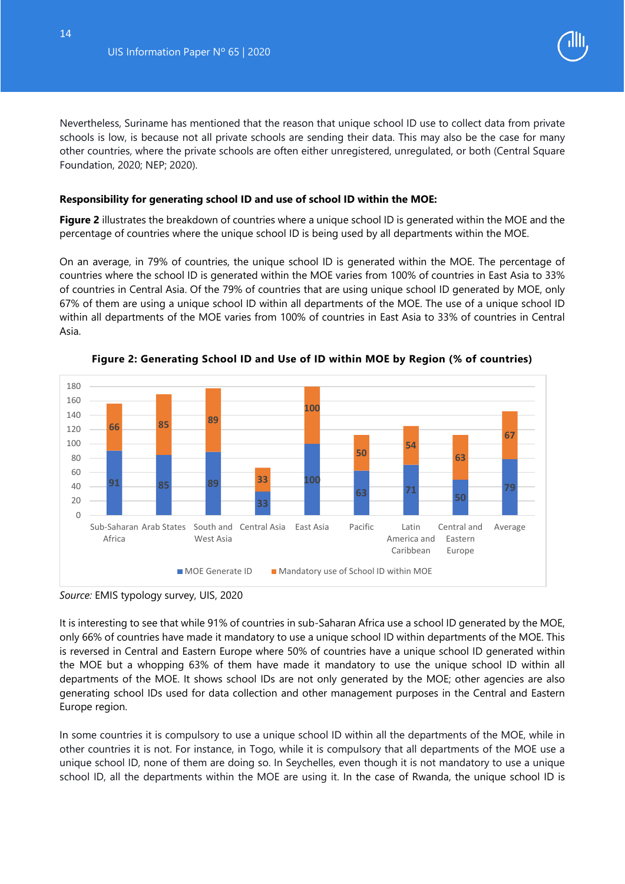

Nevertheless, Suriname has mentioned that the reason that unique school ID use to collect data from private schools is low, is because not all private schools are sending their data. This may also be the case for many other countries, where the private schools are often either unregistered, unregulated, or both (Central Square Foundation, 2020; NEP; 2020).

#### <span id="page-14-0"></span>**Responsibility for generating school ID and use of school ID within the MOE:**

**Figure 2** illustrates the breakdown of countries where a unique school ID is generated within the MOE and the percentage of countries where the unique school ID is being used by all departments within the MOE.

On an average, in 79% of countries, the unique school ID is generated within the MOE. The percentage of countries where the school ID is generated within the MOE varies from 100% of countries in East Asia to 33% of countries in Central Asia. Of the 79% of countries that are using unique school ID generated by MOE, only 67% of them are using a unique school ID within all departments of the MOE. The use of a unique school ID within all departments of the MOE varies from 100% of countries in East Asia to 33% of countries in Central Asia.

<span id="page-14-1"></span>

**Figure 2: Generating School ID and Use of ID within MOE by Region (% of countries)**

It is interesting to see that while 91% of countries in sub-Saharan Africa use a school ID generated by the MOE, only 66% of countries have made it mandatory to use a unique school ID within departments of the MOE. This is reversed in Central and Eastern Europe where 50% of countries have a unique school ID generated within the MOE but a whopping 63% of them have made it mandatory to use the unique school ID within all departments of the MOE. It shows school IDs are not only generated by the MOE; other agencies are also generating school IDs used for data collection and other management purposes in the Central and Eastern Europe region.

In some countries it is compulsory to use a unique school ID within all the departments of the MOE, while in other countries it is not. For instance, in Togo, while it is compulsory that all departments of the MOE use a unique school ID, none of them are doing so. In Seychelles, even though it is not mandatory to use a unique school ID, all the departments within the MOE are using it. In the case of Rwanda, the unique school ID is

*Source:* EMIS typology survey, UIS, 2020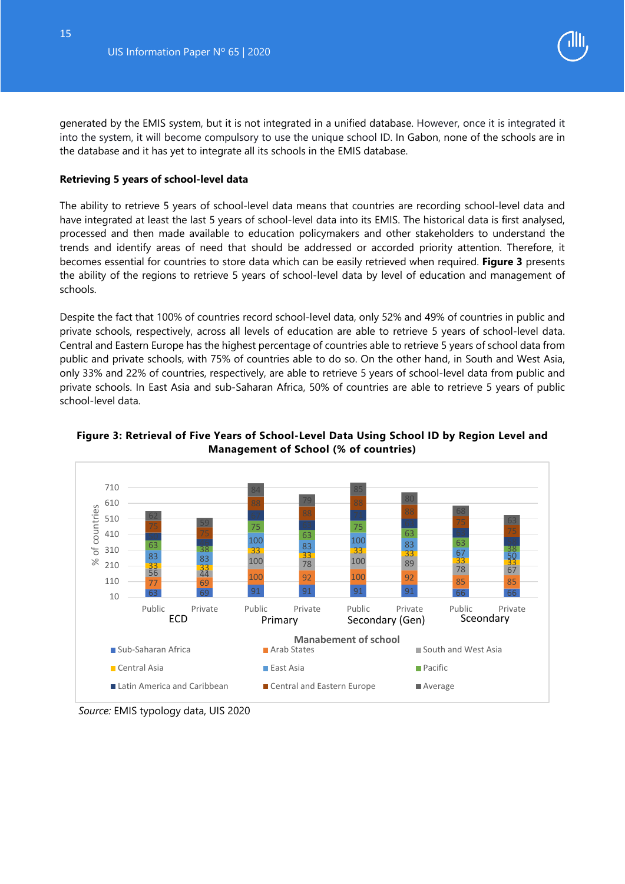

generated by the EMIS system, but it is not integrated in a unified database. However, once it is integrated it into the system, it will become compulsory to use the unique school ID. In Gabon, none of the schools are in the database and it has yet to integrate all its schools in the EMIS database.

#### **Retrieving 5 years of school-level data**

The ability to retrieve 5 years of school-level data means that countries are recording school-level data and have integrated at least the last 5 years of school-level data into its EMIS. The historical data is first analysed, processed and then made available to education policymakers and other stakeholders to understand the trends and identify areas of need that should be addressed or accorded priority attention. Therefore, it becomes essential for countries to store data which can be easily retrieved when required. **Figure 3** presents the ability of the regions to retrieve 5 years of school-level data by level of education and management of schools.

Despite the fact that 100% of countries record school-level data, only 52% and 49% of countries in public and private schools, respectively, across all levels of education are able to retrieve 5 years of school-level data. Central and Eastern Europe has the highest percentage of countries able to retrieve 5 years of school data from public and private schools, with 75% of countries able to do so. On the other hand, in South and West Asia, only 33% and 22% of countries, respectively, are able to retrieve 5 years of school-level data from public and private schools. In East Asia and sub-Saharan Africa, 50% of countries are able to retrieve 5 years of public school-level data.



#### <span id="page-15-0"></span>**Figure 3: Retrieval of Five Years of School-Level Data Using School ID by Region Level and Management of School (% of countries)**

*Source:* EMIS typology data, UIS 2020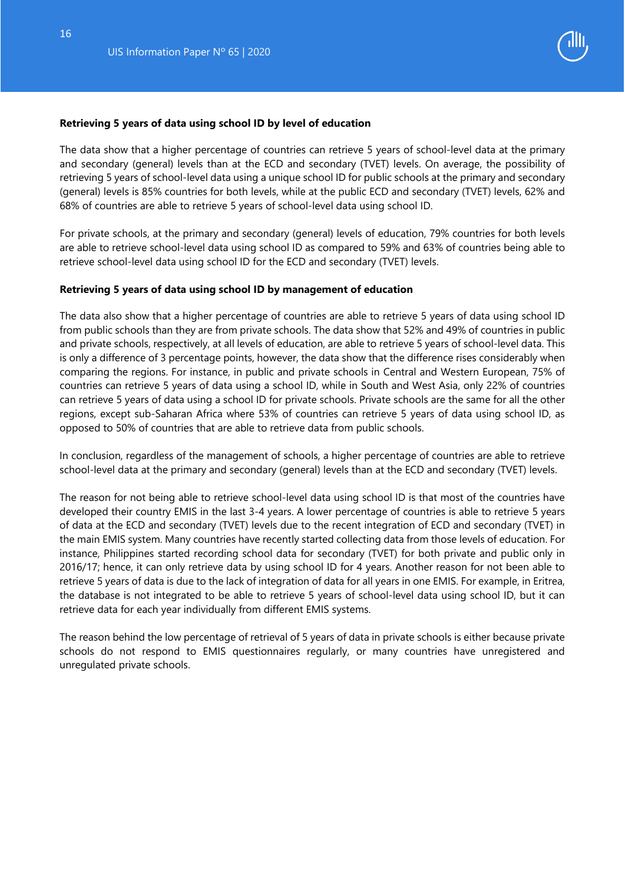

#### **Retrieving 5 years of data using school ID by level of education**

The data show that a higher percentage of countries can retrieve 5 years of school-level data at the primary and secondary (general) levels than at the ECD and secondary (TVET) levels. On average, the possibility of retrieving 5 years of school-level data using a unique school ID for public schools at the primary and secondary (general) levels is 85% countries for both levels, while at the public ECD and secondary (TVET) levels, 62% and 68% of countries are able to retrieve 5 years of school-level data using school ID.

For private schools, at the primary and secondary (general) levels of education, 79% countries for both levels are able to retrieve school-level data using school ID as compared to 59% and 63% of countries being able to retrieve school-level data using school ID for the ECD and secondary (TVET) levels.

#### **Retrieving 5 years of data using school ID by management of education**

The data also show that a higher percentage of countries are able to retrieve 5 years of data using school ID from public schools than they are from private schools. The data show that 52% and 49% of countries in public and private schools, respectively, at all levels of education, are able to retrieve 5 years of school-level data. This is only a difference of 3 percentage points, however, the data show that the difference rises considerably when comparing the regions. For instance, in public and private schools in Central and Western European, 75% of countries can retrieve 5 years of data using a school ID, while in South and West Asia, only 22% of countries can retrieve 5 years of data using a school ID for private schools. Private schools are the same for all the other regions, except sub-Saharan Africa where 53% of countries can retrieve 5 years of data using school ID, as opposed to 50% of countries that are able to retrieve data from public schools.

In conclusion, regardless of the management of schools, a higher percentage of countries are able to retrieve school-level data at the primary and secondary (general) levels than at the ECD and secondary (TVET) levels.

The reason for not being able to retrieve school-level data using school ID is that most of the countries have developed their country EMIS in the last 3-4 years. A lower percentage of countries is able to retrieve 5 years of data at the ECD and secondary (TVET) levels due to the recent integration of ECD and secondary (TVET) in the main EMIS system. Many countries have recently started collecting data from those levels of education. For instance, Philippines started recording school data for secondary (TVET) for both private and public only in 2016/17; hence, it can only retrieve data by using school ID for 4 years. Another reason for not been able to retrieve 5 years of data is due to the lack of integration of data for all years in one EMIS. For example, in Eritrea, the database is not integrated to be able to retrieve 5 years of school-level data using school ID, but it can retrieve data for each year individually from different EMIS systems.

<span id="page-16-0"></span>The reason behind the low percentage of retrieval of 5 years of data in private schools is either because private schools do not respond to EMIS questionnaires regularly, or many countries have unregistered and unregulated private schools.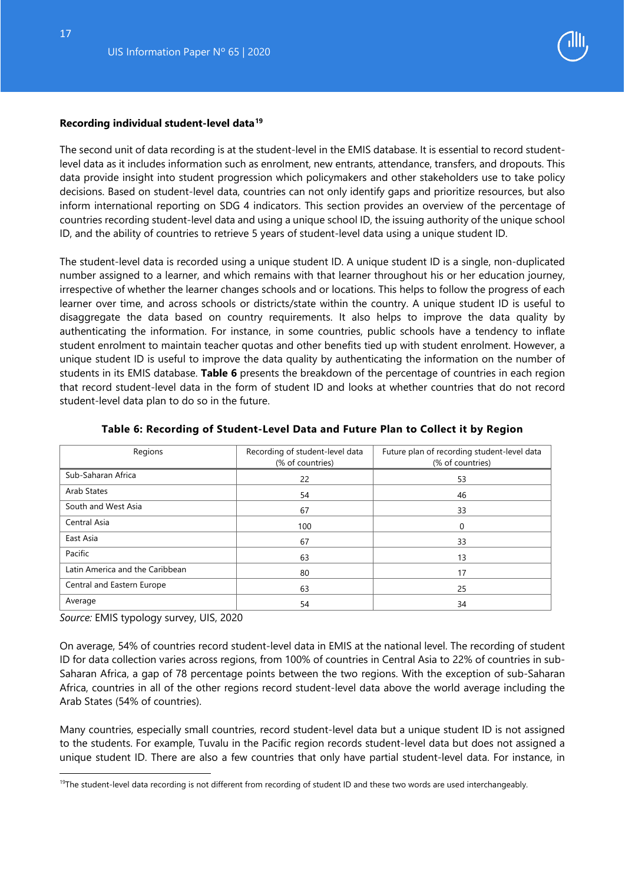

#### **Recording individual student-level data[19](#page-17-1)**

The second unit of data recording is at the student-level in the EMIS database. It is essential to record studentlevel data as it includes information such as enrolment, new entrants, attendance, transfers, and dropouts. This data provide insight into student progression which policymakers and other stakeholders use to take policy decisions. Based on student-level data, countries can not only identify gaps and prioritize resources, but also inform international reporting on SDG 4 indicators. This section provides an overview of the percentage of countries recording student-level data and using a unique school ID, the issuing authority of the unique school ID, and the ability of countries to retrieve 5 years of student-level data using a unique student ID.

The student-level data is recorded using a unique student ID. A unique student ID is a single, non-duplicated number assigned to a learner, and which remains with that learner throughout his or her education journey, irrespective of whether the learner changes schools and or locations. This helps to follow the progress of each learner over time, and across schools or districts/state within the country. A unique student ID is useful to disaggregate the data based on country requirements. It also helps to improve the data quality by authenticating the information. For instance, in some countries, public schools have a tendency to inflate student enrolment to maintain teacher quotas and other benefits tied up with student enrolment. However, a unique student ID is useful to improve the data quality by authenticating the information on the number of students in its EMIS database. **Table 6** presents the breakdown of the percentage of countries in each region that record student-level data in the form of student ID and looks at whether countries that do not record student-level data plan to do so in the future.

<span id="page-17-0"></span>

| Regions                         | Recording of student-level data<br>(% of countries) | Future plan of recording student-level data<br>(% of countries) |
|---------------------------------|-----------------------------------------------------|-----------------------------------------------------------------|
| Sub-Saharan Africa              | 22                                                  | 53                                                              |
| Arab States                     | 54                                                  | 46                                                              |
| South and West Asia             | 67                                                  | 33                                                              |
| Central Asia                    | 100                                                 |                                                                 |
| East Asia                       | 67                                                  | 33                                                              |
| Pacific                         | 63                                                  | 13                                                              |
| Latin America and the Caribbean | 80                                                  | 17                                                              |
| Central and Eastern Europe      | 63                                                  | 25                                                              |
| Average                         | 54                                                  | 34                                                              |

#### **Table 6: Recording of Student-Level Data and Future Plan to Collect it by Region**

*Source:* EMIS typology survey, UIS, 2020

-

On average, 54% of countries record student-level data in EMIS at the national level. The recording of student ID for data collection varies across regions, from 100% of countries in Central Asia to 22% of countries in sub-Saharan Africa, a gap of 78 percentage points between the two regions. With the exception of sub-Saharan Africa, countries in all of the other regions record student-level data above the world average including the Arab States (54% of countries).

Many countries, especially small countries, record student-level data but a unique student ID is not assigned to the students. For example, Tuvalu in the Pacific region records student-level data but does not assigned a unique student ID. There are also a few countries that only have partial student-level data. For instance, in

<span id="page-17-1"></span> $19$ The student-level data recording is not different from recording of student ID and these two words are used interchangeably.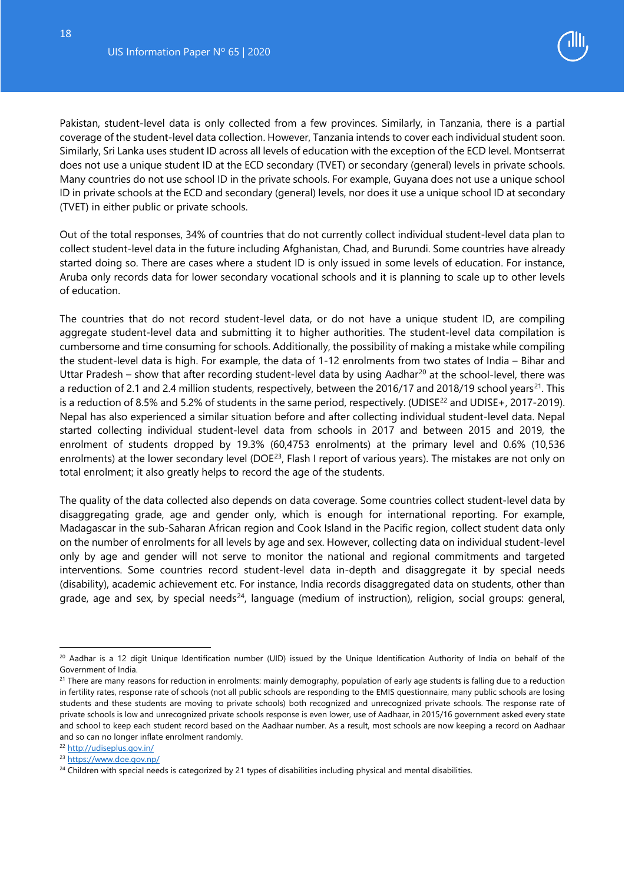

Pakistan, student-level data is only collected from a few provinces. Similarly, in Tanzania, there is a partial coverage of the student-level data collection. However, Tanzania intends to cover each individual student soon. Similarly, Sri Lanka uses student ID across all levels of education with the exception of the ECD level. Montserrat does not use a unique student ID at the ECD secondary (TVET) or secondary (general) levels in private schools. Many countries do not use school ID in the private schools. For example, Guyana does not use a unique school ID in private schools at the ECD and secondary (general) levels, nor does it use a unique school ID at secondary (TVET) in either public or private schools.

Out of the total responses, 34% of countries that do not currently collect individual student-level data plan to collect student-level data in the future including Afghanistan, Chad, and Burundi. Some countries have already started doing so. There are cases where a student ID is only issued in some levels of education. For instance, Aruba only records data for lower secondary vocational schools and it is planning to scale up to other levels of education.

The countries that do not record student-level data, or do not have a unique student ID, are compiling aggregate student-level data and submitting it to higher authorities. The student-level data compilation is cumbersome and time consuming for schools. Additionally, the possibility of making a mistake while compiling the student-level data is high. For example, the data of 1-12 enrolments from two states of India – Bihar and Uttar Pradesh – show that after recording student-level data by using Aadhar<sup>[20](#page-18-0)</sup> at the school-level, there was a reduction of 2.1 and 2.4 million students, respectively, between the 2016/17 and 2018/19 school years<sup>[21](#page-18-1)</sup>. This is a reduction of 8.5% and 5.2% of students in the same period, respectively. (UDISE<sup>[22](#page-18-2)</sup> and UDISE+, 2017-2019). Nepal has also experienced a similar situation before and after collecting individual student-level data. Nepal started collecting individual student-level data from schools in 2017 and between 2015 and 2019, the enrolment of students dropped by 19.3% (60,4753 enrolments) at the primary level and 0.6% (10,536 enrolments) at the lower secondary level (DOE<sup>[23](#page-18-3)</sup>, Flash I report of various years). The mistakes are not only on total enrolment; it also greatly helps to record the age of the students.

The quality of the data collected also depends on data coverage. Some countries collect student-level data by disaggregating grade, age and gender only, which is enough for international reporting. For example, Madagascar in the sub-Saharan African region and Cook Island in the Pacific region, collect student data only on the number of enrolments for all levels by age and sex. However, collecting data on individual student-level only by age and gender will not serve to monitor the national and regional commitments and targeted interventions. Some countries record student-level data in-depth and disaggregate it by special needs (disability), academic achievement etc. For instance, India records disaggregated data on students, other than grade, age and sex, by special needs<sup>24</sup>, language (medium of instruction), religion, social groups: general,

j

<span id="page-18-0"></span><sup>&</sup>lt;sup>20</sup> Aadhar is a 12 digit Unique Identification number (UID) issued by the Unique Identification Authority of India on behalf of the Government of India.

<span id="page-18-1"></span> $21$  There are many reasons for reduction in enrolments: mainly demography, population of early age students is falling due to a reduction in fertility rates, response rate of schools (not all public schools are responding to the EMIS questionnaire, many public schools are losing students and these students are moving to private schools) both recognized and unrecognized private schools. The response rate of private schools is low and unrecognized private schools response is even lower, use of Aadhaar, in 2015/16 government asked every state and school to keep each student record based on the Aadhaar number. As a result, most schools are now keeping a record on Aadhaar and so can no longer inflate enrolment randomly.

<span id="page-18-2"></span><sup>22</sup> <http://udiseplus.gov.in/>

<span id="page-18-3"></span><sup>23</sup> <https://www.doe.gov.np/>

<span id="page-18-4"></span><sup>&</sup>lt;sup>24</sup> Children with special needs is categorized by 21 types of disabilities including physical and mental disabilities.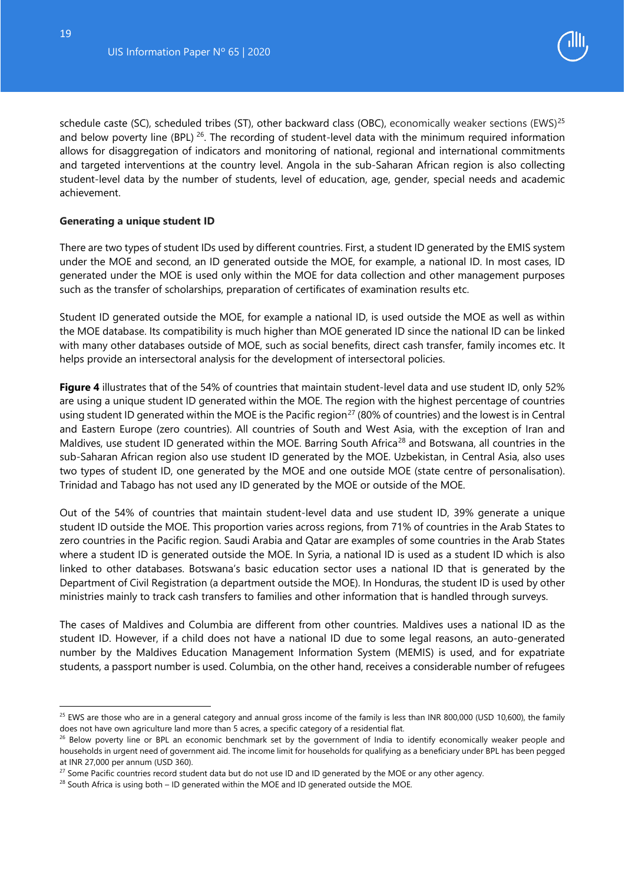

schedule caste (SC), scheduled tribes (ST), other backward class (OBC), economically weaker sections (EWS)<sup>[25](#page-19-0)</sup> and below poverty line (BPL) <sup>[26](#page-19-1)</sup>. The recording of student-level data with the minimum required information allows for disaggregation of indicators and monitoring of national, regional and international commitments and targeted interventions at the country level. Angola in the sub-Saharan African region is also collecting student-level data by the number of students, level of education, age, gender, special needs and academic achievement.

#### **Generating a unique student ID**

There are two types of student IDs used by different countries. First, a student ID generated by the EMIS system under the MOE and second, an ID generated outside the MOE, for example, a national ID. In most cases, ID generated under the MOE is used only within the MOE for data collection and other management purposes such as the transfer of scholarships, preparation of certificates of examination results etc.

Student ID generated outside the MOE, for example a national ID, is used outside the MOE as well as within the MOE database. Its compatibility is much higher than MOE generated ID since the national ID can be linked with many other databases outside of MOE, such as social benefits, direct cash transfer, family incomes etc. It helps provide an intersectoral analysis for the development of intersectoral policies.

**Figure 4** illustrates that of the 54% of countries that maintain student-level data and use student ID, only 52% are using a unique student ID generated within the MOE. The region with the highest percentage of countries using student ID generated within the MOE is the Pacific region<sup>[27](#page-19-2)</sup> (80% of countries) and the lowest is in Central and Eastern Europe (zero countries). All countries of South and West Asia, with the exception of Iran and Maldives, use student ID generated within the MOE. Barring South Africa<sup>[28](#page-19-3)</sup> and Botswana, all countries in the sub-Saharan African region also use student ID generated by the MOE. Uzbekistan, in Central Asia, also uses two types of student ID, one generated by the MOE and one outside MOE (state centre of personalisation). Trinidad and Tabago has not used any ID generated by the MOE or outside of the MOE.

Out of the 54% of countries that maintain student-level data and use student ID, 39% generate a unique student ID outside the MOE. This proportion varies across regions, from 71% of countries in the Arab States to zero countries in the Pacific region. Saudi Arabia and Qatar are examples of some countries in the Arab States where a student ID is generated outside the MOE. In Syria, a national ID is used as a student ID which is also linked to other databases. Botswana's basic education sector uses a national ID that is generated by the Department of Civil Registration (a department outside the MOE). In Honduras, the student ID is used by other ministries mainly to track cash transfers to families and other information that is handled through surveys.

The cases of Maldives and Columbia are different from other countries. Maldives uses a national ID as the student ID. However, if a child does not have a national ID due to some legal reasons, an auto-generated number by the Maldives Education Management Information System (MEMIS) is used, and for expatriate students, a passport number is used. Columbia, on the other hand, receives a considerable number of refugees

j

<span id="page-19-0"></span><sup>&</sup>lt;sup>25</sup> EWS are those who are in a general category and annual gross income of the family is less than INR 800,000 (USD 10,600), the family does not have own agriculture land more than 5 acres, a specific category of a residential flat.<br><sup>26</sup> Below poverty line or BPL an economic benchmark set by the government of India to identify economically weaker people an

<span id="page-19-1"></span>households in urgent need of government aid. The income limit for households for qualifying as a beneficiary under BPL has been pegged at INR 27,000 per annum (USD 360).

<span id="page-19-2"></span><sup>&</sup>lt;sup>27</sup> Some Pacific countries record student data but do not use ID and ID generated by the MOE or any other agency.

<span id="page-19-3"></span> $28$  South Africa is using both – ID generated within the MOE and ID generated outside the MOE.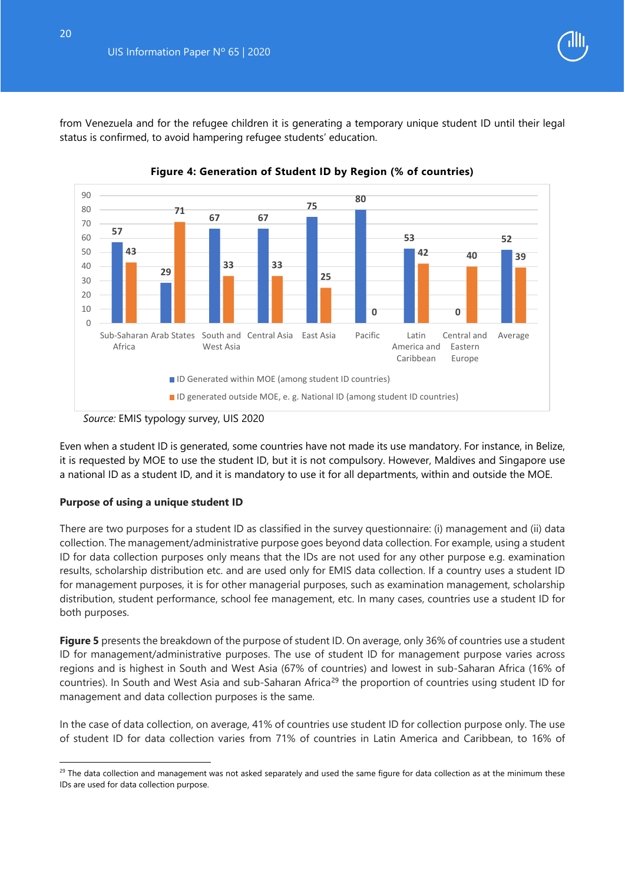

from Venezuela and for the refugee children it is generating a temporary unique student ID until their legal status is confirmed, to avoid hampering refugee students' education.

<span id="page-20-0"></span>



Even when a student ID is generated, some countries have not made its use mandatory. For instance, in Belize, it is requested by MOE to use the student ID, but it is not compulsory. However, Maldives and Singapore use a national ID as a student ID, and it is mandatory to use it for all departments, within and outside the MOE.

#### **Purpose of using a unique student ID**

j

There are two purposes for a student ID as classified in the survey questionnaire: (i) management and (ii) data collection. The management/administrative purpose goes beyond data collection. For example, using a student ID for data collection purposes only means that the IDs are not used for any other purpose e.g. examination results, scholarship distribution etc. and are used only for EMIS data collection. If a country uses a student ID for management purposes, it is for other managerial purposes, such as examination management, scholarship distribution, student performance, school fee management, etc. In many cases, countries use a student ID for both purposes.

**Figure 5** presents the breakdown of the purpose of student ID. On average, only 36% of countries use a student ID for management/administrative purposes. The use of student ID for management purpose varies across regions and is highest in South and West Asia (67% of countries) and lowest in sub-Saharan Africa (16% of countries). In South and West Asia and sub-Saharan Africa<sup>[29](#page-20-1)</sup> the proportion of countries using student ID for management and data collection purposes is the same.

In the case of data collection, on average, 41% of countries use student ID for collection purpose only. The use of student ID for data collection varies from 71% of countries in Latin America and Caribbean, to 16% of

*Source:* EMIS typology survey, UIS 2020

<span id="page-20-1"></span> $29$  The data collection and management was not asked separately and used the same figure for data collection as at the minimum these IDs are used for data collection purpose.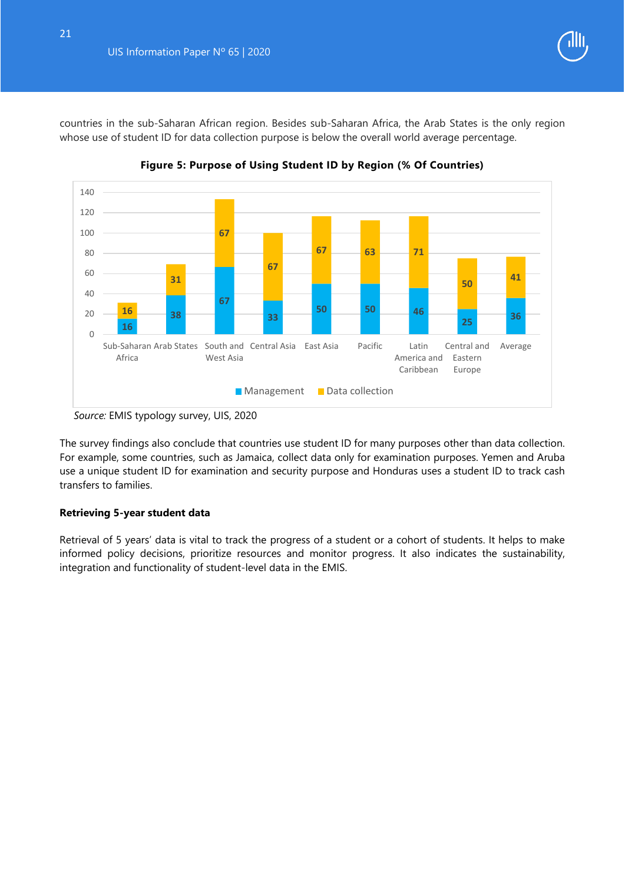

countries in the sub-Saharan African region. Besides sub-Saharan Africa, the Arab States is the only region whose use of student ID for data collection purpose is below the overall world average percentage.

<span id="page-21-0"></span>

**Figure 5: Purpose of Using Student ID by Region (% Of Countries)**

The survey findings also conclude that countries use student ID for many purposes other than data collection. For example, some countries, such as Jamaica, collect data only for examination purposes. Yemen and Aruba use a unique student ID for examination and security purpose and Honduras uses a student ID to track cash transfers to families.

#### **Retrieving 5-year student data**

Retrieval of 5 years' data is vital to track the progress of a student or a cohort of students. It helps to make informed policy decisions, prioritize resources and monitor progress. It also indicates the sustainability, integration and functionality of student-level data in the EMIS.

*Source:* EMIS typology survey, UIS, 2020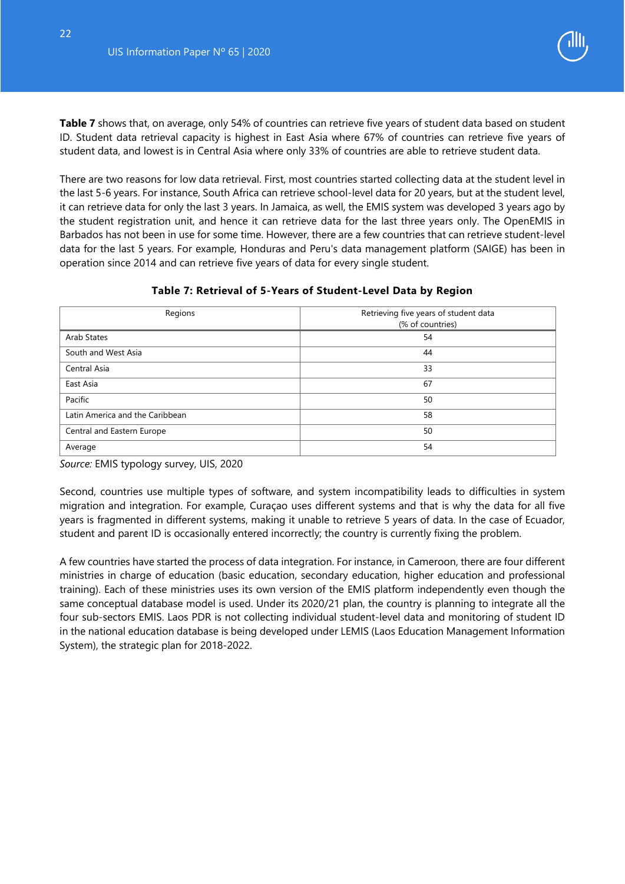**Table 7** shows that, on average, only 54% of countries can retrieve five years of student data based on student ID. Student data retrieval capacity is highest in East Asia where 67% of countries can retrieve five years of student data, and lowest is in Central Asia where only 33% of countries are able to retrieve student data.

There are two reasons for low data retrieval. First, most countries started collecting data at the student level in the last 5-6 years. For instance, South Africa can retrieve school-level data for 20 years, but at the student level, it can retrieve data for only the last 3 years. In Jamaica, as well, the EMIS system was developed 3 years ago by the student registration unit, and hence it can retrieve data for the last three years only. The OpenEMIS in Barbados has not been in use for some time. However, there are a few countries that can retrieve student-level data for the last 5 years. For example, Honduras and Peru's data management platform (SAIGE) has been in operation since 2014 and can retrieve five years of data for every single student.

<span id="page-22-0"></span>

| Regions                         | Retrieving five years of student data<br>(% of countries) |
|---------------------------------|-----------------------------------------------------------|
| Arab States                     | 54                                                        |
| South and West Asia             | 44                                                        |
| Central Asia                    | 33                                                        |
| East Asia                       | 67                                                        |
| Pacific                         | 50                                                        |
| Latin America and the Caribbean | 58                                                        |
| Central and Eastern Europe      | 50                                                        |
| Average                         | 54                                                        |

#### **Table 7: Retrieval of 5-Years of Student-Level Data by Region**

*Source:* EMIS typology survey, UIS, 2020

Second, countries use multiple types of software, and system incompatibility leads to difficulties in system migration and integration. For example, Curaçao uses different systems and that is why the data for all five years is fragmented in different systems, making it unable to retrieve 5 years of data. In the case of Ecuador, student and parent ID is occasionally entered incorrectly; the country is currently fixing the problem.

A few countries have started the process of data integration. For instance, in Cameroon, there are four different ministries in charge of education (basic education, secondary education, higher education and professional training). Each of these ministries uses its own version of the EMIS platform independently even though the same conceptual database model is used. Under its 2020/21 plan, the country is planning to integrate all the four sub-sectors EMIS. Laos PDR is not collecting individual student-level data and monitoring of student ID in the national education database is being developed under LEMIS (Laos Education Management Information System), the strategic plan for 2018-2022.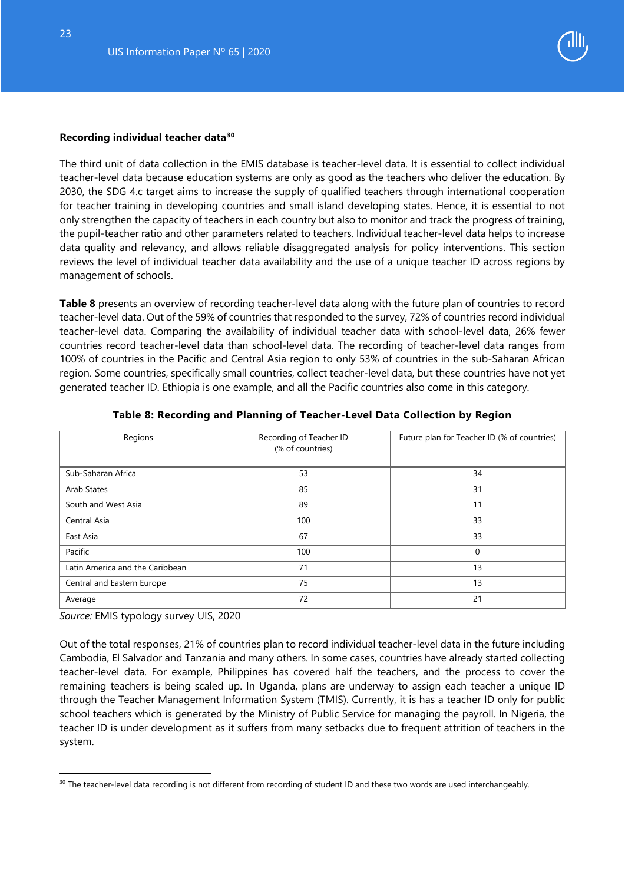23



#### <span id="page-23-1"></span>**Recording individual teacher data[30](#page-23-2)**

The third unit of data collection in the EMIS database is teacher-level data. It is essential to collect individual teacher-level data because education systems are only as good as the teachers who deliver the education. By 2030, the SDG 4.c target aims to increase the supply of qualified teachers through international cooperation for teacher training in developing countries and small island developing states. Hence, it is essential to not only strengthen the capacity of teachers in each country but also to monitor and track the progress of training, the pupil-teacher ratio and other parameters related to teachers. Individual teacher-level data helps to increase data quality and relevancy, and allows reliable disaggregated analysis for policy interventions. This section reviews the level of individual teacher data availability and the use of a unique teacher ID across regions by management of schools.

**Table 8** presents an overview of recording teacher-level data along with the future plan of countries to record teacher-level data. Out of the 59% of countries that responded to the survey, 72% of countries record individual teacher-level data. Comparing the availability of individual teacher data with school-level data, 26% fewer countries record teacher-level data than school-level data. The recording of teacher-level data ranges from 100% of countries in the Pacific and Central Asia region to only 53% of countries in the sub-Saharan African region. Some countries, specifically small countries, collect teacher-level data, but these countries have not yet generated teacher ID. Ethiopia is one example, and all the Pacific countries also come in this category.

<span id="page-23-0"></span>

| Regions                         | Recording of Teacher ID<br>(% of countries) | Future plan for Teacher ID (% of countries) |
|---------------------------------|---------------------------------------------|---------------------------------------------|
| Sub-Saharan Africa              | 53                                          | 34                                          |
| Arab States                     | 85                                          | 31                                          |
| South and West Asia             | 89                                          | 11                                          |
| Central Asia                    | 100                                         | 33                                          |
| East Asia                       | 67                                          | 33                                          |
| Pacific                         | 100                                         | $\mathbf 0$                                 |
| Latin America and the Caribbean | 71                                          | 13                                          |
| Central and Eastern Europe      | 75                                          | 13                                          |
| Average                         | 72                                          | 21                                          |

#### **Table 8: Recording and Planning of Teacher-Level Data Collection by Region**

*Source:* EMIS typology survey UIS, 2020

-

Out of the total responses, 21% of countries plan to record individual teacher-level data in the future including Cambodia, El Salvador and Tanzania and many others. In some cases, countries have already started collecting teacher-level data. For example, Philippines has covered half the teachers, and the process to cover the remaining teachers is being scaled up. In Uganda, plans are underway to assign each teacher a unique ID through the Teacher Management Information System (TMIS). Currently, it is has a teacher ID only for public school teachers which is generated by the Ministry of Public Service for managing the payroll. In Nigeria, the teacher ID is under development as it suffers from many setbacks due to frequent attrition of teachers in the system.

<span id="page-23-2"></span><sup>&</sup>lt;sup>30</sup> The teacher-level data recording is not different from recording of student ID and these two words are used interchangeably.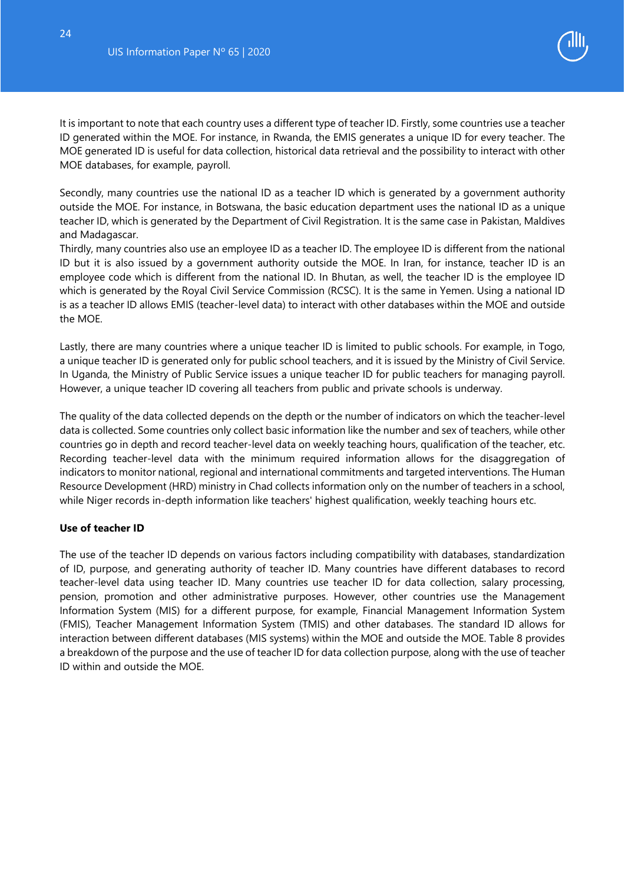

It is important to note that each country uses a different type of teacher ID. Firstly, some countries use a teacher ID generated within the MOE. For instance, in Rwanda, the EMIS generates a unique ID for every teacher. The MOE generated ID is useful for data collection, historical data retrieval and the possibility to interact with other MOE databases, for example, payroll.

Secondly, many countries use the national ID as a teacher ID which is generated by a government authority outside the MOE. For instance, in Botswana, the basic education department uses the national ID as a unique teacher ID, which is generated by the Department of Civil Registration. It is the same case in Pakistan, Maldives and Madagascar.

Thirdly, many countries also use an employee ID as a teacher ID. The employee ID is different from the national ID but it is also issued by a government authority outside the MOE. In Iran, for instance, teacher ID is an employee code which is different from the national ID. In Bhutan, as well, the teacher ID is the employee ID which is generated by the Royal Civil Service Commission (RCSC). It is the same in Yemen. Using a national ID is as a teacher ID allows EMIS (teacher-level data) to interact with other databases within the MOE and outside the MOE.

Lastly, there are many countries where a unique teacher ID is limited to public schools. For example, in Togo, a unique teacher ID is generated only for public school teachers, and it is issued by the Ministry of Civil Service. In Uganda, the Ministry of Public Service issues a unique teacher ID for public teachers for managing payroll. However, a unique teacher ID covering all teachers from public and private schools is underway.

The quality of the data collected depends on the depth or the number of indicators on which the teacher-level data is collected. Some countries only collect basic information like the number and sex of teachers, while other countries go in depth and record teacher-level data on weekly teaching hours, qualification of the teacher, etc. Recording teacher-level data with the minimum required information allows for the disaggregation of indicators to monitor national, regional and international commitments and targeted interventions. The Human Resource Development (HRD) ministry in Chad collects information only on the number of teachers in a school, while Niger records in-depth information like teachers' highest qualification, weekly teaching hours etc.

#### **Use of teacher ID**

The use of the teacher ID depends on various factors including compatibility with databases, standardization of ID, purpose, and generating authority of teacher ID. Many countries have different databases to record teacher-level data using teacher ID. Many countries use teacher ID for data collection, salary processing, pension, promotion and other administrative purposes. However, other countries use the Management Information System (MIS) for a different purpose, for example, Financial Management Information System (FMIS), Teacher Management Information System (TMIS) and other databases. The standard ID allows for interaction between different databases (MIS systems) within the MOE and outside the MOE. Table 8 provides a breakdown of the purpose and the use of teacher ID for data collection purpose, along with the use of teacher ID within and outside the MOE.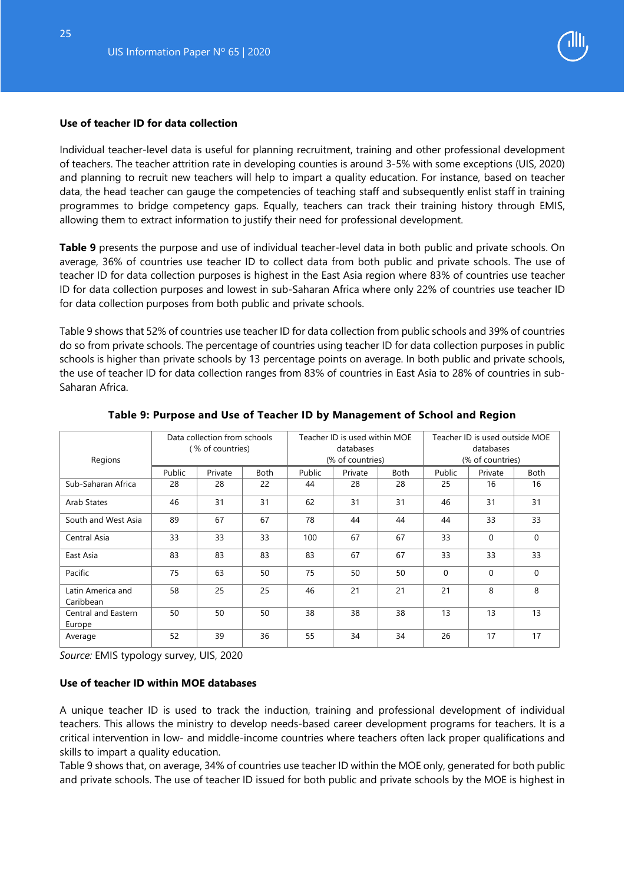25



#### **Use of teacher ID for data collection**

Individual teacher-level data is useful for planning recruitment, training and other professional development of teachers. The teacher attrition rate in developing counties is around 3-5% with some exceptions (UIS, 2020) and planning to recruit new teachers will help to impart a quality education. For instance, based on teacher data, the head teacher can gauge the competencies of teaching staff and subsequently enlist staff in training programmes to bridge competency gaps. Equally, teachers can track their training history through EMIS, allowing them to extract information to justify their need for professional development.

**Table 9** presents the purpose and use of individual teacher-level data in both public and private schools. On average, 36% of countries use teacher ID to collect data from both public and private schools. The use of teacher ID for data collection purposes is highest in the East Asia region where 83% of countries use teacher ID for data collection purposes and lowest in sub-Saharan Africa where only 22% of countries use teacher ID for data collection purposes from both public and private schools.

Table 9 shows that 52% of countries use teacher ID for data collection from public schools and 39% of countries do so from private schools. The percentage of countries using teacher ID for data collection purposes in public schools is higher than private schools by 13 percentage points on average. In both public and private schools, the use of teacher ID for data collection ranges from 83% of countries in East Asia to 28% of countries in sub-Saharan Africa.

<span id="page-25-0"></span>

|                                |        | Data collection from schools | Teacher ID is used within MOE |           |                  |             | Teacher ID is used outside MOE |                  |             |  |
|--------------------------------|--------|------------------------------|-------------------------------|-----------|------------------|-------------|--------------------------------|------------------|-------------|--|
|                                |        | ( % of countries)            |                               | databases |                  | databases   |                                |                  |             |  |
| Regions                        |        |                              |                               |           | (% of countries) |             |                                | (% of countries) |             |  |
|                                | Public | Private                      | Both                          | Public    | Private          | <b>Both</b> | Public                         | Private          | <b>Both</b> |  |
| Sub-Saharan Africa             | 28     | 28                           | 22                            | 44        | 28               | 28          | 25                             | 16               | 16          |  |
| Arab States                    | 46     | 31                           | 31                            | 62        | 31               | 31          | 46                             | 31               | 31          |  |
| South and West Asia            | 89     | 67                           | 67                            | 78        | 44               | 44          | 44                             | 33               | 33          |  |
| Central Asia                   | 33     | 33                           | 33                            | 100       | 67               | 67          | 33                             | $\mathbf 0$      | $\mathbf 0$ |  |
| East Asia                      | 83     | 83                           | 83                            | 83        | 67               | 67          | 33                             | 33               | 33          |  |
| Pacific                        | 75     | 63                           | 50                            | 75        | 50               | 50          | $\Omega$                       | $\Omega$         | $\Omega$    |  |
| Latin America and<br>Caribbean | 58     | 25                           | 25                            | 46        | 21               | 21          | 21                             | 8                | 8           |  |
| Central and Eastern<br>Europe  | 50     | 50                           | 50                            | 38        | 38               | 38          | 13                             | 13               | 13          |  |
| Average                        | 52     | 39                           | 36                            | 55        | 34               | 34          | 26                             | 17               | 17          |  |

#### **Table 9: Purpose and Use of Teacher ID by Management of School and Region**

*Source:* EMIS typology survey, UIS, 2020

#### **Use of teacher ID within MOE databases**

A unique teacher ID is used to track the induction, training and professional development of individual teachers. This allows the ministry to develop needs-based career development programs for teachers. It is a critical intervention in low- and middle-income countries where teachers often lack proper qualifications and skills to impart a quality education.

Table 9 shows that, on average, 34% of countries use teacher ID within the MOE only, generated for both public and private schools. The use of teacher ID issued for both public and private schools by the MOE is highest in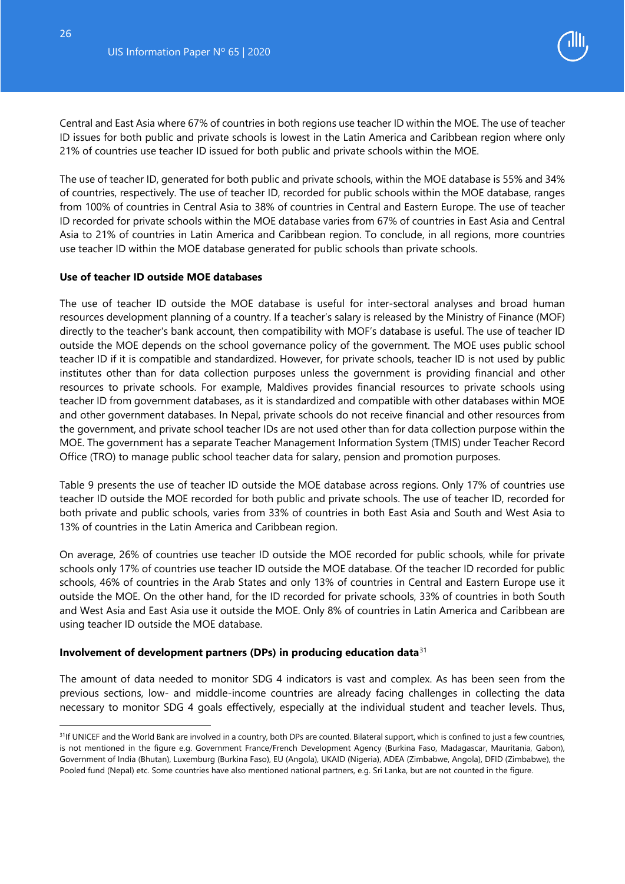

Central and East Asia where 67% of countries in both regions use teacher ID within the MOE. The use of teacher ID issues for both public and private schools is lowest in the Latin America and Caribbean region where only 21% of countries use teacher ID issued for both public and private schools within the MOE.

The use of teacher ID, generated for both public and private schools, within the MOE database is 55% and 34% of countries, respectively. The use of teacher ID, recorded for public schools within the MOE database, ranges from 100% of countries in Central Asia to 38% of countries in Central and Eastern Europe. The use of teacher ID recorded for private schools within the MOE database varies from 67% of countries in East Asia and Central Asia to 21% of countries in Latin America and Caribbean region. To conclude, in all regions, more countries use teacher ID within the MOE database generated for public schools than private schools.

#### **Use of teacher ID outside MOE databases**

The use of teacher ID outside the MOE database is useful for inter-sectoral analyses and broad human resources development planning of a country. If a teacher's salary is released by the Ministry of Finance (MOF) directly to the teacher's bank account, then compatibility with MOF's database is useful. The use of teacher ID outside the MOE depends on the school governance policy of the government. The MOE uses public school teacher ID if it is compatible and standardized. However, for private schools, teacher ID is not used by public institutes other than for data collection purposes unless the government is providing financial and other resources to private schools. For example, Maldives provides financial resources to private schools using teacher ID from government databases, as it is standardized and compatible with other databases within MOE and other government databases. In Nepal, private schools do not receive financial and other resources from the government, and private school teacher IDs are not used other than for data collection purpose within the MOE. The government has a separate Teacher Management Information System (TMIS) under Teacher Record Office (TRO) to manage public school teacher data for salary, pension and promotion purposes.

Table 9 presents the use of teacher ID outside the MOE database across regions. Only 17% of countries use teacher ID outside the MOE recorded for both public and private schools. The use of teacher ID, recorded for both private and public schools, varies from 33% of countries in both East Asia and South and West Asia to 13% of countries in the Latin America and Caribbean region.

On average, 26% of countries use teacher ID outside the MOE recorded for public schools, while for private schools only 17% of countries use teacher ID outside the MOE database. Of the teacher ID recorded for public schools, 46% of countries in the Arab States and only 13% of countries in Central and Eastern Europe use it outside the MOE. On the other hand, for the ID recorded for private schools, 33% of countries in both South and West Asia and East Asia use it outside the MOE. Only 8% of countries in Latin America and Caribbean are using teacher ID outside the MOE database.

#### <span id="page-26-0"></span>**Involvement of development partners (DPs) in producing education data**[31](#page-26-1)

The amount of data needed to monitor SDG 4 indicators is vast and complex. As has been seen from the previous sections, low- and middle-income countries are already facing challenges in collecting the data necessary to monitor SDG 4 goals effectively, especially at the individual student and teacher levels. Thus,

-

<span id="page-26-1"></span><sup>&</sup>lt;sup>31</sup>If UNICEF and the World Bank are involved in a country, both DPs are counted. Bilateral support, which is confined to just a few countries, is not mentioned in the figure e.g. Government France/French Development Agency (Burkina Faso, Madagascar, Mauritania, Gabon), Government of India (Bhutan), Luxemburg (Burkina Faso), EU (Angola), UKAID (Nigeria), ADEA (Zimbabwe, Angola), DFID (Zimbabwe), the Pooled fund (Nepal) etc. Some countries have also mentioned national partners, e.g. Sri Lanka, but are not counted in the figure.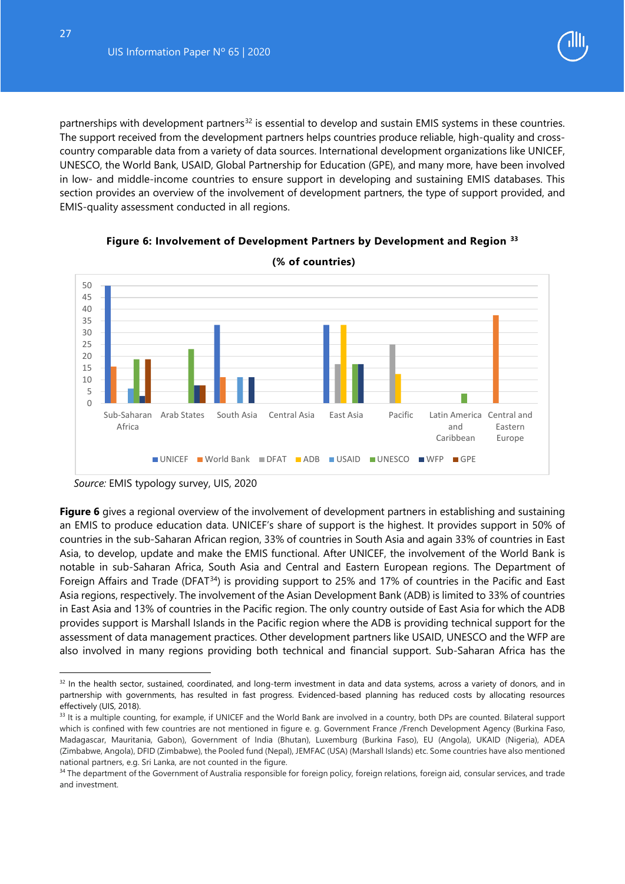partnerships with development partners<sup>[32](#page-27-1)</sup> is essential to develop and sustain EMIS systems in these countries. The support received from the development partners helps countries produce reliable, high-quality and crosscountry comparable data from a variety of data sources. International development organizations like UNICEF, UNESCO, the World Bank, USAID, Global Partnership for Education (GPE), and many more, have been involved in low- and middle-income countries to ensure support in developing and sustaining EMIS databases. This section provides an overview of the involvement of development partners, the type of support provided, and EMIS-quality assessment conducted in all regions.

<span id="page-27-0"></span>

**Figure 6: Involvement of Development Partners by Development and Region [33](#page-27-2)**

**Figure 6** gives a regional overview of the involvement of development partners in establishing and sustaining an EMIS to produce education data. UNICEF's share of support is the highest. It provides support in 50% of countries in the sub-Saharan African region, 33% of countries in South Asia and again 33% of countries in East Asia, to develop, update and make the EMIS functional. After UNICEF, the involvement of the World Bank is notable in sub-Saharan Africa, South Asia and Central and Eastern European regions. The Department of Foreign Affairs and Trade (DFAT<sup>[34](#page-27-3)</sup>) is providing support to 25% and 17% of countries in the Pacific and East Asia regions, respectively. The involvement of the Asian Development Bank (ADB) is limited to 33% of countries in East Asia and 13% of countries in the Pacific region. The only country outside of East Asia for which the ADB provides support is Marshall Islands in the Pacific region where the ADB is providing technical support for the assessment of data management practices. Other development partners like USAID, UNESCO and the WFP are also involved in many regions providing both technical and financial support. Sub-Saharan Africa has the

-

*Source:* EMIS typology survey, UIS, 2020

<span id="page-27-1"></span><sup>&</sup>lt;sup>32</sup> In the health sector, sustained, coordinated, and long-term investment in data and data systems, across a variety of donors, and in partnership with governments, has resulted in fast progress. Evidenced-based planning has reduced costs by allocating resources effectively (UIS, 2018).

<span id="page-27-2"></span><sup>33</sup> It is a multiple counting, for example, if UNICEF and the World Bank are involved in a country, both DPs are counted. Bilateral support which is confined with few countries are not mentioned in figure e. g. Government France /French Development Agency (Burkina Faso, Madagascar, Mauritania, Gabon), Government of India (Bhutan), Luxemburg (Burkina Faso), EU (Angola), UKAID (Nigeria), ADEA (Zimbabwe, Angola), DFID (Zimbabwe), the Pooled fund (Nepal), JEMFAC (USA) (Marshall Islands) etc. Some countries have also mentioned national partners, e.g. Sri Lanka, are not counted in the figure.

<span id="page-27-3"></span><sup>&</sup>lt;sup>34</sup> The [department](https://en.wikipedia.org/wiki/Government_department) of the [Government of Australia](https://en.wikipedia.org/wiki/Government_of_Australia) responsible for [foreign policy,](https://en.wikipedia.org/wiki/Foreign_Policy_of_Australia) [foreign relations,](https://en.wikipedia.org/wiki/Foreign_relations_of_Australia) [foreign aid,](https://en.wikipedia.org/wiki/Aid) [consular services,](https://en.wikipedia.org/wiki/Consular_assistance) and trade [and investment.](https://en.wikipedia.org/wiki/Australian_Trade_Commission)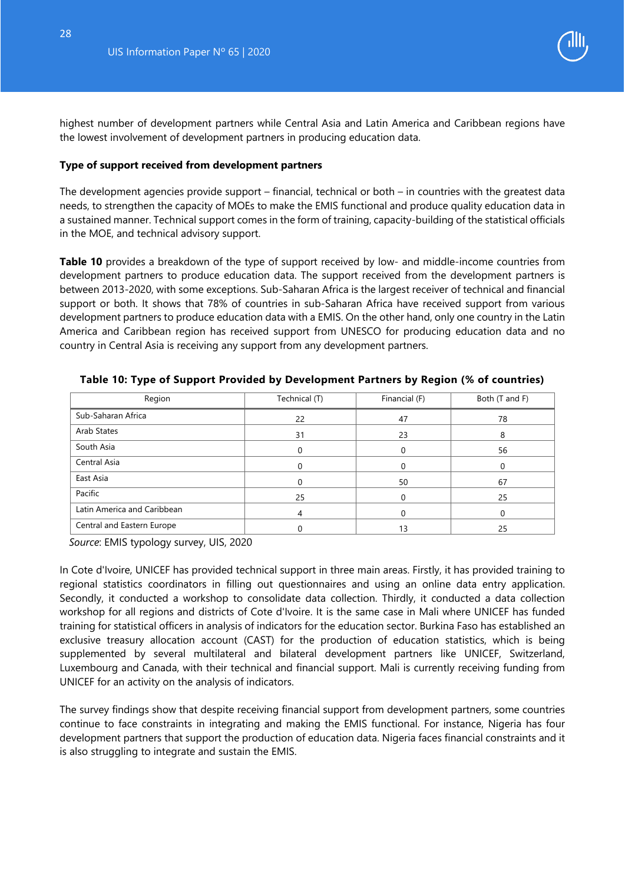

highest number of development partners while Central Asia and Latin America and Caribbean regions have the lowest involvement of development partners in producing education data.

#### **Type of support received from development partners**

The development agencies provide support – financial, technical or both – in countries with the greatest data needs, to strengthen the capacity of MOEs to make the EMIS functional and produce quality education data in a sustained manner. Technical support comes in the form of training, capacity-building of the statistical officials in the MOE, and technical advisory support.

**Table 10** provides a breakdown of the type of support received by low- and middle-income countries from development partners to produce education data. The support received from the development partners is between 2013-2020, with some exceptions. Sub-Saharan Africa is the largest receiver of technical and financial support or both. It shows that 78% of countries in sub-Saharan Africa have received support from various development partners to produce education data with a EMIS. On the other hand, only one country in the Latin America and Caribbean region has received support from UNESCO for producing education data and no country in Central Asia is receiving any support from any development partners.

| Region                      | Technical (T) | Financial (F) | Both (T and F) |
|-----------------------------|---------------|---------------|----------------|
| Sub-Saharan Africa          | 22            | 47            | 78             |
| Arab States                 | 31            | 23            | 8              |
| South Asia                  |               |               | 56             |
| Central Asia                |               |               |                |
| East Asia                   |               | 50            | 67             |
| Pacific                     | 25            |               | 25             |
| Latin America and Caribbean | 4             |               | 0              |
| Central and Eastern Europe  |               | 13            | 25             |

<span id="page-28-0"></span>**Table 10: Type of Support Provided by Development Partners by Region (% of countries)**

*Source*: EMIS typology survey, UIS, 2020

In Cote d'Ivoire, UNICEF has provided technical support in three main areas. Firstly, it has provided training to regional statistics coordinators in filling out questionnaires and using an online data entry application. Secondly, it conducted a workshop to consolidate data collection. Thirdly, it conducted a data collection workshop for all regions and districts of Cote d'Ivoire. It is the same case in Mali where UNICEF has funded training for statistical officers in analysis of indicators for the education sector. Burkina Faso has established an exclusive treasury allocation account (CAST) for the production of education statistics, which is being supplemented by several multilateral and bilateral development partners like UNICEF, Switzerland, Luxembourg and Canada, with their technical and financial support. Mali is currently receiving funding from UNICEF for an activity on the analysis of indicators.

The survey findings show that despite receiving financial support from development partners, some countries continue to face constraints in integrating and making the EMIS functional. For instance, Nigeria has four development partners that support the production of education data. Nigeria faces financial constraints and it is also struggling to integrate and sustain the EMIS.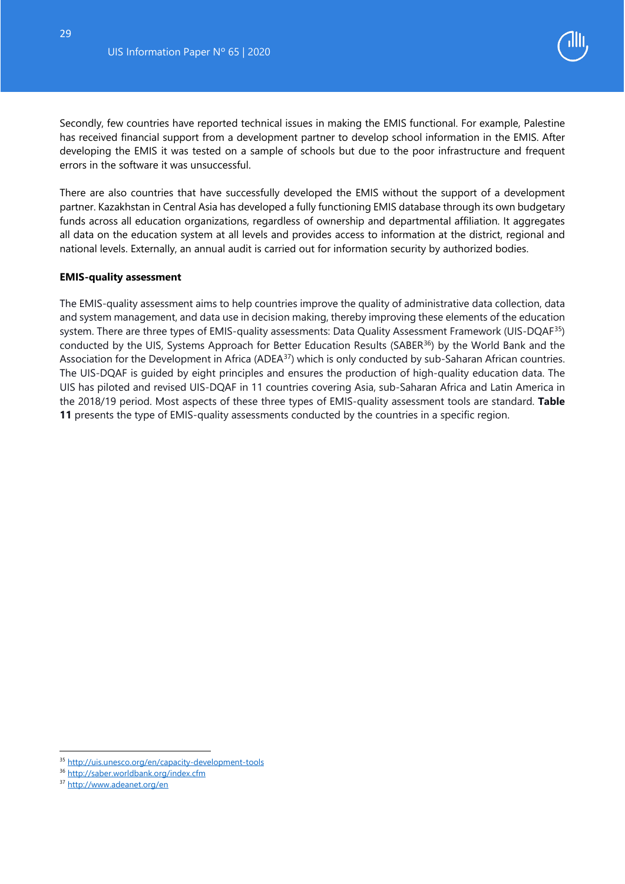

Secondly, few countries have reported technical issues in making the EMIS functional. For example, Palestine has received financial support from a development partner to develop school information in the EMIS. After developing the EMIS it was tested on a sample of schools but due to the poor infrastructure and frequent errors in the software it was unsuccessful.

There are also countries that have successfully developed the EMIS without the support of a development partner. Kazakhstan in Central Asia has developed a fully functioning EMIS database through its own budgetary funds across all education organizations, regardless of ownership and departmental affiliation. It aggregates all data on the education system at all levels and provides access to information at the district, regional and national levels. Externally, an annual audit is carried out for information security by authorized bodies.

#### **EMIS-quality assessment**

The EMIS-quality assessment aims to help countries improve the quality of administrative data collection, data and system management, and data use in decision making, thereby improving these elements of the education system. There are three types of EMIS-quality assessments: Data Quality Assessment Framework (UIS-DQAF<sup>[35](#page-29-0)</sup>) conducted by the UIS, Systems Approach for Better Education Results (SABER<sup>36</sup>) by the World Bank and the Association for the Development in Africa (ADEA<sup>[37](#page-29-2)</sup>) which is only conducted by sub-Saharan African countries. The UIS-DQAF is guided by eight principles and ensures the production of high-quality education data. The UIS has piloted and revised UIS-DQAF in 11 countries covering Asia, sub-Saharan Africa and Latin America in the 2018/19 period. Most aspects of these three types of EMIS-quality assessment tools are standard. **Table 11** presents the type of EMIS-quality assessments conducted by the countries in a specific region.

-

<span id="page-29-0"></span><sup>35</sup> <http://uis.unesco.org/en/capacity-development-tools>

<span id="page-29-2"></span><span id="page-29-1"></span><sup>36</sup> <http://saber.worldbank.org/index.cfm> <sup>37</sup> <http://www.adeanet.org/en>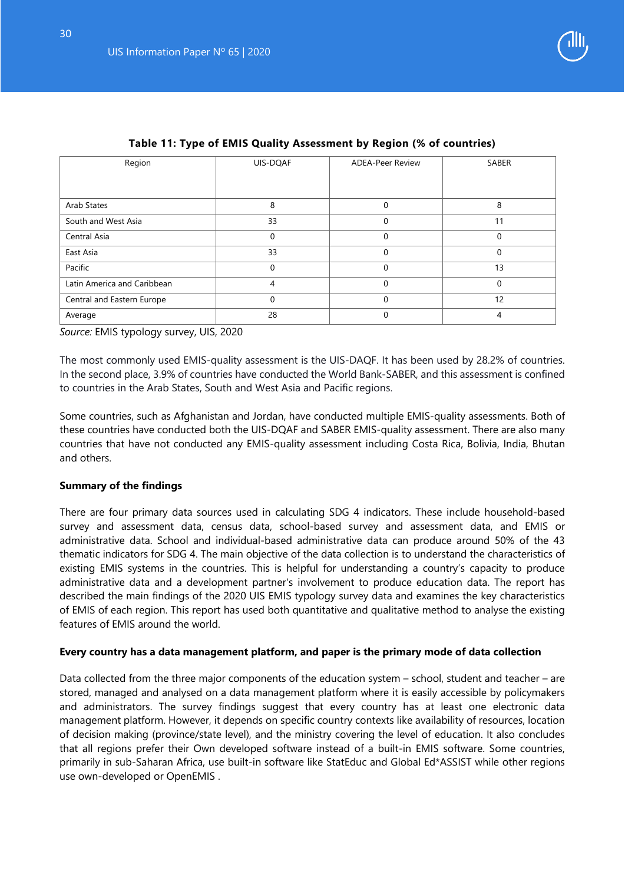

<span id="page-30-0"></span>

| Region                      | UIS-DQAF    | <b>ADEA-Peer Review</b> | SABER    |
|-----------------------------|-------------|-------------------------|----------|
|                             |             |                         |          |
|                             |             |                         |          |
| Arab States                 | 8           | 0                       | 8        |
| South and West Asia         | 33          | 0                       | 11       |
| Central Asia                | 0           | 0                       | $\Omega$ |
| East Asia                   | 33          | 0                       | 0        |
| Pacific                     | $\mathbf 0$ | 0                       | 13       |
| Latin America and Caribbean | 4           | 0                       | $\Omega$ |
| Central and Eastern Europe  | 0           | 0                       | 12       |
| Average                     | 28          | 0                       | 4        |

#### **Table 11: Type of EMIS Quality Assessment by Region (% of countries)**

*Source:* EMIS typology survey, UIS, 2020

The most commonly used EMIS-quality assessment is the UIS-DAQF. It has been used by 28.2% of countries. In the second place, 3.9% of countries have conducted the World Bank-SABER, and this assessment is confined to countries in the Arab States, South and West Asia and Pacific regions.

Some countries, such as Afghanistan and Jordan, have conducted multiple EMIS-quality assessments. Both of these countries have conducted both the UIS-DQAF and SABER EMIS-quality assessment. There are also many countries that have not conducted any EMIS-quality assessment including Costa Rica, Bolivia, India, Bhutan and others.

#### <span id="page-30-1"></span>**Summary of the findings**

There are four primary data sources used in calculating SDG 4 indicators. These include household-based survey and assessment data, census data, school-based survey and assessment data, and EMIS or administrative data. School and individual-based administrative data can produce around 50% of the 43 thematic indicators for SDG 4. The main objective of the data collection is to understand the characteristics of existing EMIS systems in the countries. This is helpful for understanding a country's capacity to produce administrative data and a development partner's involvement to produce education data. The report has described the main findings of the 2020 UIS EMIS typology survey data and examines the key characteristics of EMIS of each region. This report has used both quantitative and qualitative method to analyse the existing features of EMIS around the world.

#### **Every country has a data management platform, and paper is the primary mode of data collection**

Data collected from the three major components of the education system – school, student and teacher – are stored, managed and analysed on a data management platform where it is easily accessible by policymakers and administrators. The survey findings suggest that every country has at least one electronic data management platform. However, it depends on specific country contexts like availability of resources, location of decision making (province/state level), and the ministry covering the level of education. It also concludes that all regions prefer their Own developed software instead of a built-in EMIS software. Some countries, primarily in sub-Saharan Africa, use built-in software like StatEduc and Global Ed\*ASSIST while other regions use own-developed or OpenEMIS .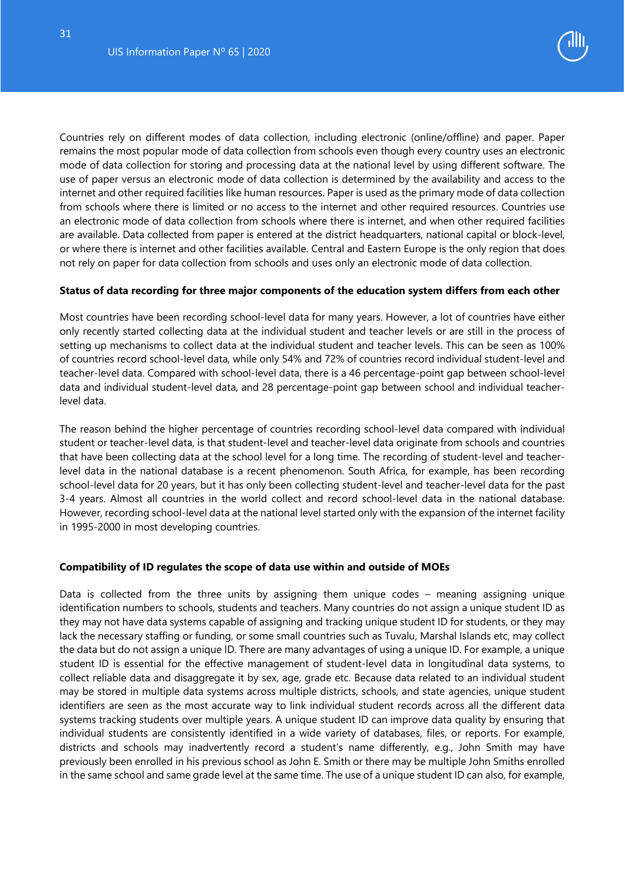

Countries rely on different modes of data collection, including electronic (online/offline) and paper. Paper remains the most popular mode of data collection from schools even though every country uses an electronic mode of data collection for storing and processing data at the national level by using different software. The use of paper versus an electronic mode of data collection is determined by the availability and access to the internet and other required facilities like human resources. Paper is used as the primary mode of data collection from schools where there is limited or no access to the internet and other required resources. Countries use an electronic mode of data collection from schools where there is internet, and when other required facilities are available. Data collected from paper is entered at the district headquarters, national capital or block-level, or where there is internet and other facilities available. Central and Eastern Europe is the only region that does not rely on paper for data collection from schools and uses only an electronic mode of data collection.

#### **Status of data recording for three major components of the education system differs from each other**

Most countries have been recording school-level data for many years. However, a lot of countries have either only recently started collecting data at the individual student and teacher levels or are still in the process of setting up mechanisms to collect data at the individual student and teacher levels. This can be seen as 100% of countries record school-level data, while only 54% and 72% of countries record individual student-level and teacher-level data. Compared with school-level data, there is a 46 percentage-point gap between school-level data and individual student-level data, and 28 percentage-point gap between school and individual teacherlevel data.

The reason behind the higher percentage of countries recording school-level data compared with individual student or teacher-level data, is that student-level and teacher-level data originate from schools and countries that have been collecting data at the school level for a long time. The recording of student-level and teacherlevel data in the national database is a recent phenomenon. South Africa, for example, has been recording school-level data for 20 years, but it has only been collecting student-level and teacher-level data for the past 3-4 years. Almost all countries in the world collect and record school-level data in the national database. However, recording school-level data at the national level started only with the expansion of the internet facility in 1995-2000 in most developing countries.

#### **Compatibility of ID regulates the scope of data use within and outside of MOEs**

Data is collected from the three units by assigning them unique codes – meaning assigning unique identification numbers to schools, students and teachers. Many countries do not assign a unique student ID as they may not have data systems capable of assigning and tracking unique student ID for students, or they may lack the necessary staffing or funding, or some small countries such as Tuvalu, Marshal Islands etc, may collect the data but do not assign a unique ID. There are many advantages of using a unique ID. For example, a unique student ID is essential for the effective management of student-level data in longitudinal data systems, to collect reliable data and disaggregate it by sex, age, grade etc. Because data related to an individual student may be stored in multiple data systems across multiple districts, schools, and state agencies, unique student identifiers are seen as the most accurate way to link individual student records across all the different data systems tracking students over multiple years. A unique student ID can improve data quality by ensuring that individual students are consistently identified in a wide variety of databases, files, or reports. For example, districts and schools may inadvertently record a student's name differently, e.g., John Smith may have previously been enrolled in his previous school as John E. Smith or there may be multiple John Smiths enrolled in the same school and same grade level at the same time. The use of a unique student ID can also, for example,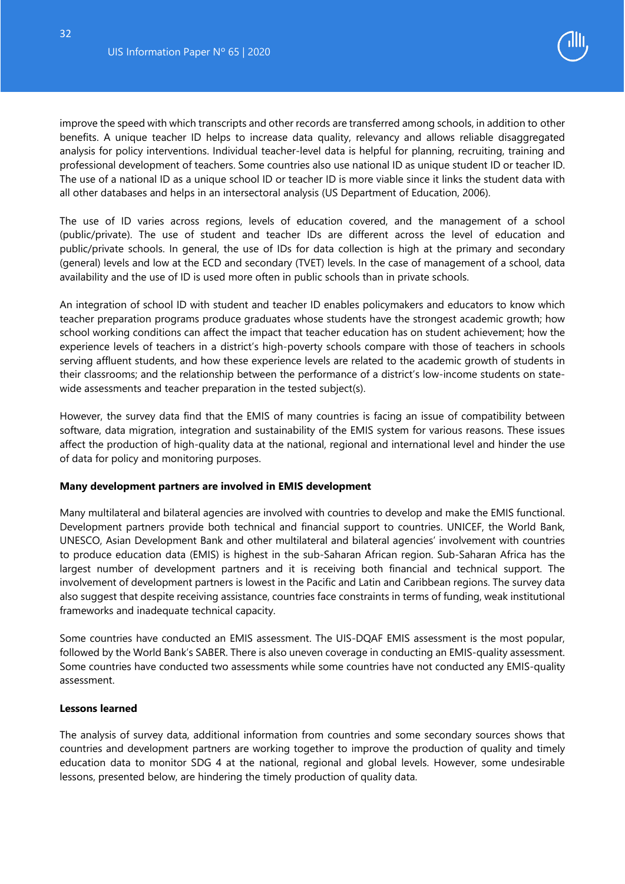

improve the speed with which transcripts and other records are transferred among schools, in addition to other benefits. A unique teacher ID helps to increase data quality, relevancy and allows reliable disaggregated analysis for policy interventions. Individual teacher-level data is helpful for planning, recruiting, training and professional development of teachers. Some countries also use national ID as unique student ID or teacher ID. The use of a national ID as a unique school ID or teacher ID is more viable since it links the student data with all other databases and helps in an intersectoral analysis (US Department of Education, 2006).

The use of ID varies across regions, levels of education covered, and the management of a school (public/private). The use of student and teacher IDs are different across the level of education and public/private schools. In general, the use of IDs for data collection is high at the primary and secondary (general) levels and low at the ECD and secondary (TVET) levels. In the case of management of a school, data availability and the use of ID is used more often in public schools than in private schools.

An integration of school ID with student and teacher ID enables policymakers and educators to know which teacher preparation programs produce graduates whose students have the strongest academic growth; how school working conditions can affect the impact that teacher education has on student achievement; how the experience levels of teachers in a district's high-poverty schools compare with those of teachers in schools serving affluent students, and how these experience levels are related to the academic growth of students in their classrooms; and the relationship between the performance of a district's low-income students on statewide assessments and teacher preparation in the tested subject(s).

However, the survey data find that the EMIS of many countries is facing an issue of compatibility between software, data migration, integration and sustainability of the EMIS system for various reasons. These issues affect the production of high-quality data at the national, regional and international level and hinder the use of data for policy and monitoring purposes.

#### **Many development partners are involved in EMIS development**

Many multilateral and bilateral agencies are involved with countries to develop and make the EMIS functional. Development partners provide both technical and financial support to countries. UNICEF, the World Bank, UNESCO, Asian Development Bank and other multilateral and bilateral agencies' involvement with countries to produce education data (EMIS) is highest in the sub-Saharan African region. Sub-Saharan Africa has the largest number of development partners and it is receiving both financial and technical support. The involvement of development partners is lowest in the Pacific and Latin and Caribbean regions. The survey data also suggest that despite receiving assistance, countries face constraints in terms of funding, weak institutional frameworks and inadequate technical capacity.

Some countries have conducted an EMIS assessment. The UIS-DQAF EMIS assessment is the most popular, followed by the World Bank's SABER. There is also uneven coverage in conducting an EMIS-quality assessment. Some countries have conducted two assessments while some countries have not conducted any EMIS-quality assessment.

#### <span id="page-32-0"></span>**Lessons learned**

The analysis of survey data, additional information from countries and some secondary sources shows that countries and development partners are working together to improve the production of quality and timely education data to monitor SDG 4 at the national, regional and global levels. However, some undesirable lessons, presented below, are hindering the timely production of quality data.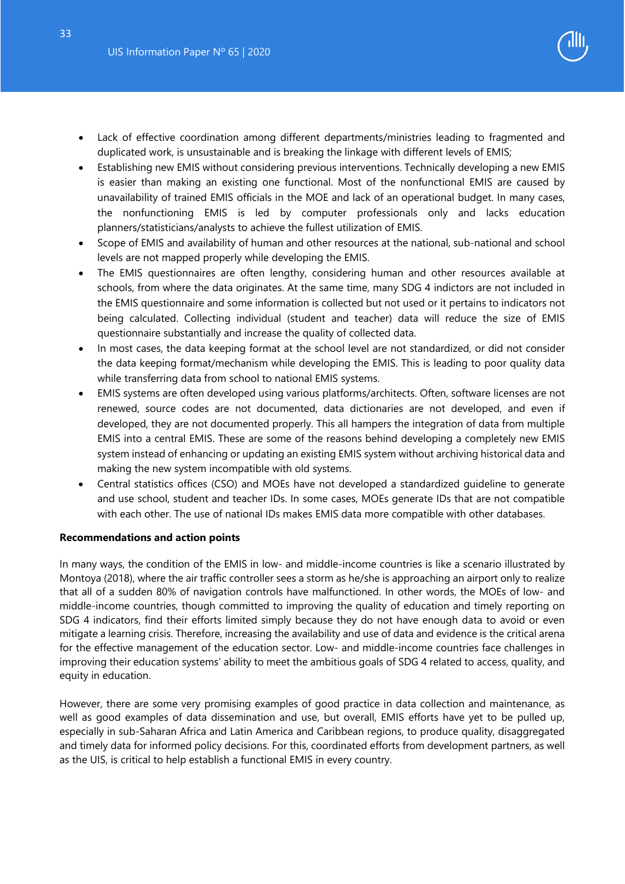- Lack of effective coordination among different departments/ministries leading to fragmented and duplicated work, is unsustainable and is breaking the linkage with different levels of EMIS;
- Establishing new EMIS without considering previous interventions. Technically developing a new EMIS is easier than making an existing one functional. Most of the nonfunctional EMIS are caused by unavailability of trained EMIS officials in the MOE and lack of an operational budget. In many cases, the nonfunctioning EMIS is led by computer professionals only and lacks education planners/statisticians/analysts to achieve the fullest utilization of EMIS.
- Scope of EMIS and availability of human and other resources at the national, sub-national and school levels are not mapped properly while developing the EMIS.
- The EMIS questionnaires are often lengthy, considering human and other resources available at schools, from where the data originates. At the same time, many SDG 4 indictors are not included in the EMIS questionnaire and some information is collected but not used or it pertains to indicators not being calculated. Collecting individual (student and teacher) data will reduce the size of EMIS questionnaire substantially and increase the quality of collected data.
- In most cases, the data keeping format at the school level are not standardized, or did not consider the data keeping format/mechanism while developing the EMIS. This is leading to poor quality data while transferring data from school to national EMIS systems.
- EMIS systems are often developed using various platforms/architects. Often, software licenses are not renewed, source codes are not documented, data dictionaries are not developed, and even if developed, they are not documented properly. This all hampers the integration of data from multiple EMIS into a central EMIS. These are some of the reasons behind developing a completely new EMIS system instead of enhancing or updating an existing EMIS system without archiving historical data and making the new system incompatible with old systems.
- Central statistics offices (CSO) and MOEs have not developed a standardized guideline to generate and use school, student and teacher IDs. In some cases, MOEs generate IDs that are not compatible with each other. The use of national IDs makes EMIS data more compatible with other databases.

#### <span id="page-33-0"></span>**Recommendations and action points**

In many ways, the condition of the EMIS in low- and middle-income countries is like a scenario illustrated by Montoya (2018), where the air traffic controller sees a storm as he/she is approaching an airport only to realize that all of a sudden 80% of navigation controls have malfunctioned. In other words, the MOEs of low- and middle-income countries, though committed to improving the quality of education and timely reporting on SDG 4 indicators, find their efforts limited simply because they do not have enough data to avoid or even mitigate a learning crisis. Therefore, increasing the availability and use of data and evidence is the critical arena for the effective management of the education sector. Low- and middle-income countries face challenges in improving their education systems' ability to meet the ambitious goals of SDG 4 related to access, quality, and equity in education.

However, there are some very promising examples of good practice in data collection and maintenance, as well as good examples of data dissemination and use, but overall, EMIS efforts have yet to be pulled up, especially in sub-Saharan Africa and Latin America and Caribbean regions, to produce quality, disaggregated and timely data for informed policy decisions. For this, coordinated efforts from development partners, as well as the UIS, is critical to help establish a functional EMIS in every country.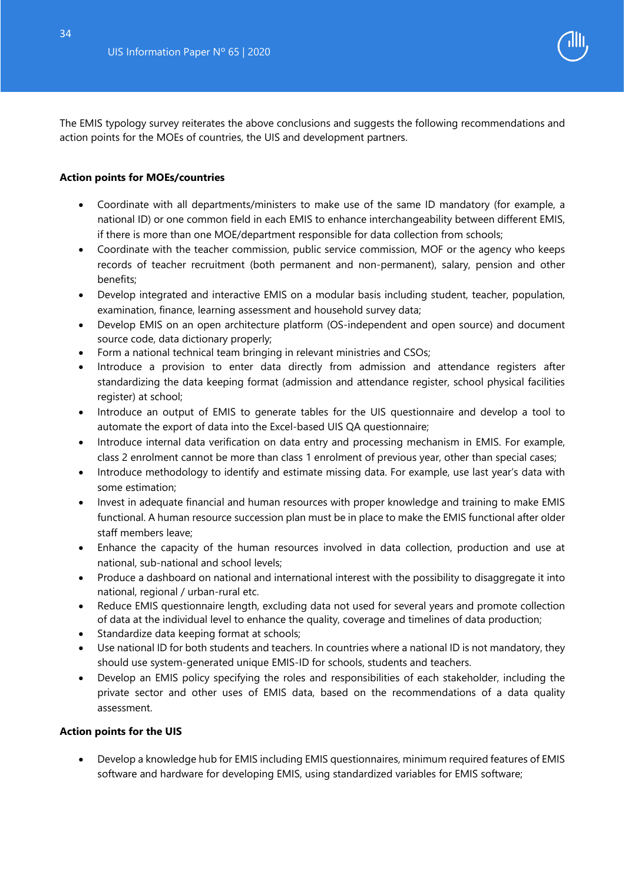

The EMIS typology survey reiterates the above conclusions and suggests the following recommendations and action points for the MOEs of countries, the UIS and development partners.

#### **Action points for MOEs/countries**

- Coordinate with all departments/ministers to make use of the same ID mandatory (for example, a national ID) or one common field in each EMIS to enhance interchangeability between different EMIS, if there is more than one MOE/department responsible for data collection from schools;
- Coordinate with the teacher commission, public service commission, MOF or the agency who keeps records of teacher recruitment (both permanent and non-permanent), salary, pension and other benefits;
- Develop integrated and interactive EMIS on a modular basis including student, teacher, population, examination, finance, learning assessment and household survey data;
- Develop EMIS on an open architecture platform (OS-independent and open source) and document source code, data dictionary properly;
- Form a national technical team bringing in relevant ministries and CSOs;
- Introduce a provision to enter data directly from admission and attendance registers after standardizing the data keeping format (admission and attendance register, school physical facilities register) at school;
- Introduce an output of EMIS to generate tables for the UIS questionnaire and develop a tool to automate the export of data into the Excel-based UIS QA questionnaire;
- Introduce internal data verification on data entry and processing mechanism in EMIS. For example, class 2 enrolment cannot be more than class 1 enrolment of previous year, other than special cases;
- Introduce methodology to identify and estimate missing data. For example, use last year's data with some estimation;
- Invest in adequate financial and human resources with proper knowledge and training to make EMIS functional. A human resource succession plan must be in place to make the EMIS functional after older staff members leave;
- Enhance the capacity of the human resources involved in data collection, production and use at national, sub-national and school levels;
- Produce a dashboard on national and international interest with the possibility to disaggregate it into national, regional / urban-rural etc.
- Reduce EMIS questionnaire length, excluding data not used for several years and promote collection of data at the individual level to enhance the quality, coverage and timelines of data production;
- Standardize data keeping format at schools;
- Use national ID for both students and teachers. In countries where a national ID is not mandatory, they should use system-generated unique EMIS-ID for schools, students and teachers.
- Develop an EMIS policy specifying the roles and responsibilities of each stakeholder, including the private sector and other uses of EMIS data, based on the recommendations of a data quality assessment.

#### **Action points for the UIS**

• Develop a knowledge hub for EMIS including EMIS questionnaires, minimum required features of EMIS software and hardware for developing EMIS, using standardized variables for EMIS software;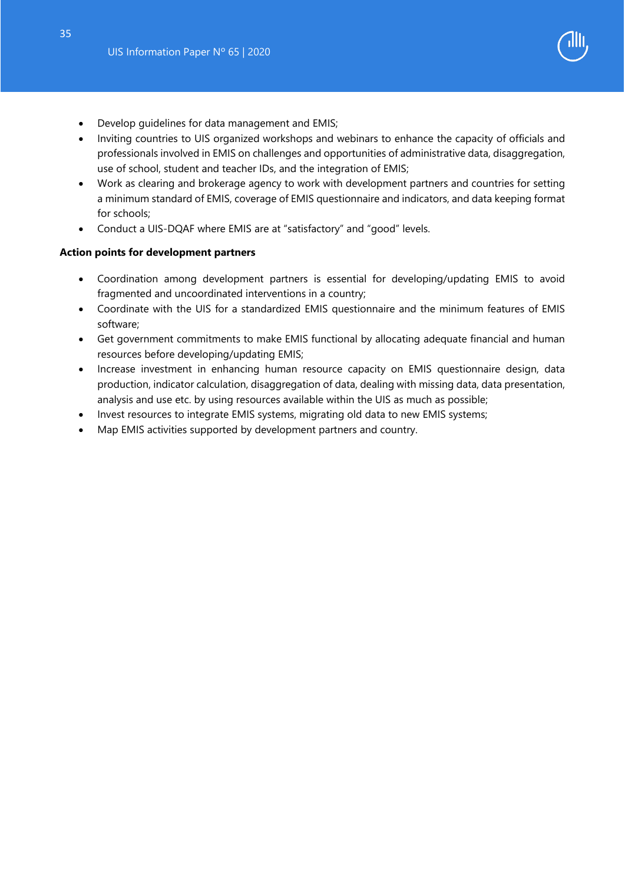- Develop guidelines for data management and EMIS;
- Inviting countries to UIS organized workshops and webinars to enhance the capacity of officials and professionals involved in EMIS on challenges and opportunities of administrative data, disaggregation, use of school, student and teacher IDs, and the integration of EMIS;
- Work as clearing and brokerage agency to work with development partners and countries for setting a minimum standard of EMIS, coverage of EMIS questionnaire and indicators, and data keeping format for schools;
- Conduct a UIS-DQAF where EMIS are at "satisfactory" and "good" levels.

## **Action points for development partners**

- Coordination among development partners is essential for developing/updating EMIS to avoid fragmented and uncoordinated interventions in a country;
- Coordinate with the UIS for a standardized EMIS questionnaire and the minimum features of EMIS software;
- Get government commitments to make EMIS functional by allocating adequate financial and human resources before developing/updating EMIS;
- Increase investment in enhancing human resource capacity on EMIS questionnaire design, data production, indicator calculation, disaggregation of data, dealing with missing data, data presentation, analysis and use etc. by using resources available within the UIS as much as possible;
- Invest resources to integrate EMIS systems, migrating old data to new EMIS systems;
- Map EMIS activities supported by development partners and country.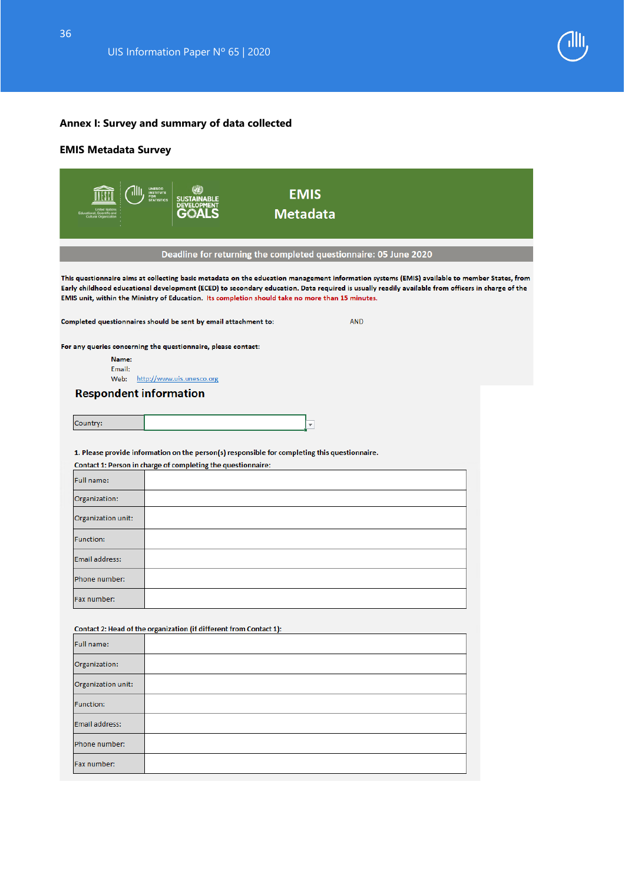

# <span id="page-36-0"></span>**Annex I: Survey and summary of data collected**

# **EMIS Metadata Survey**

|                         | UNESCO<br>INSTITUTE<br>FOR<br>STATISTICS<br><b>EMIS</b><br><b>SUSTAINABLE</b><br><b>DEVELO</b><br><b>Metadata</b>                                                                                                                                                                                                       |                                                                                                                                                            |
|-------------------------|-------------------------------------------------------------------------------------------------------------------------------------------------------------------------------------------------------------------------------------------------------------------------------------------------------------------------|------------------------------------------------------------------------------------------------------------------------------------------------------------|
|                         | Deadline for returning the completed questionnaire: 05 June 2020                                                                                                                                                                                                                                                        |                                                                                                                                                            |
|                         | Early childhood educational development (ECED) to secondary education. Data required is usually readily available from officers in charge of the<br>EMIS unit, within the Ministry of Education. Its completion should take no more than 15 minutes.<br>Completed questionnaires should be sent by email attachment to: | This questionnaire aims at collecting basic metadata on the education management information systems (EMIS) available to member States, from<br><b>AND</b> |
| Name:<br>Email:<br>Web: | For any queries concerning the questionnaire, please contact:<br>http://www.uis.unesco.org                                                                                                                                                                                                                              |                                                                                                                                                            |
|                         | <b>Respondent information</b>                                                                                                                                                                                                                                                                                           |                                                                                                                                                            |
| Country:                | $\overline{\mathbf{v}}$                                                                                                                                                                                                                                                                                                 |                                                                                                                                                            |
|                         | 1. Please provide information on the person(s) responsible for completing this questionnaire.<br>Contact 1: Person in charge of completing the questionnaire:                                                                                                                                                           |                                                                                                                                                            |
| Full name:              |                                                                                                                                                                                                                                                                                                                         |                                                                                                                                                            |
| Organization:           |                                                                                                                                                                                                                                                                                                                         |                                                                                                                                                            |
| Organization unit:      |                                                                                                                                                                                                                                                                                                                         |                                                                                                                                                            |
| <b>Function:</b>        |                                                                                                                                                                                                                                                                                                                         |                                                                                                                                                            |
| Email address:          |                                                                                                                                                                                                                                                                                                                         |                                                                                                                                                            |
| Phone number:           |                                                                                                                                                                                                                                                                                                                         |                                                                                                                                                            |
| Fax number:             |                                                                                                                                                                                                                                                                                                                         |                                                                                                                                                            |
|                         | Contact 2: Head of the organization (if different from Contact 1):                                                                                                                                                                                                                                                      |                                                                                                                                                            |
| Full name:              |                                                                                                                                                                                                                                                                                                                         |                                                                                                                                                            |
| Organization:           |                                                                                                                                                                                                                                                                                                                         |                                                                                                                                                            |
| Organization unit:      |                                                                                                                                                                                                                                                                                                                         |                                                                                                                                                            |
| Function:               |                                                                                                                                                                                                                                                                                                                         |                                                                                                                                                            |
| <b>Email address:</b>   |                                                                                                                                                                                                                                                                                                                         |                                                                                                                                                            |
| Phone number:           |                                                                                                                                                                                                                                                                                                                         |                                                                                                                                                            |
| Fax number:             |                                                                                                                                                                                                                                                                                                                         |                                                                                                                                                            |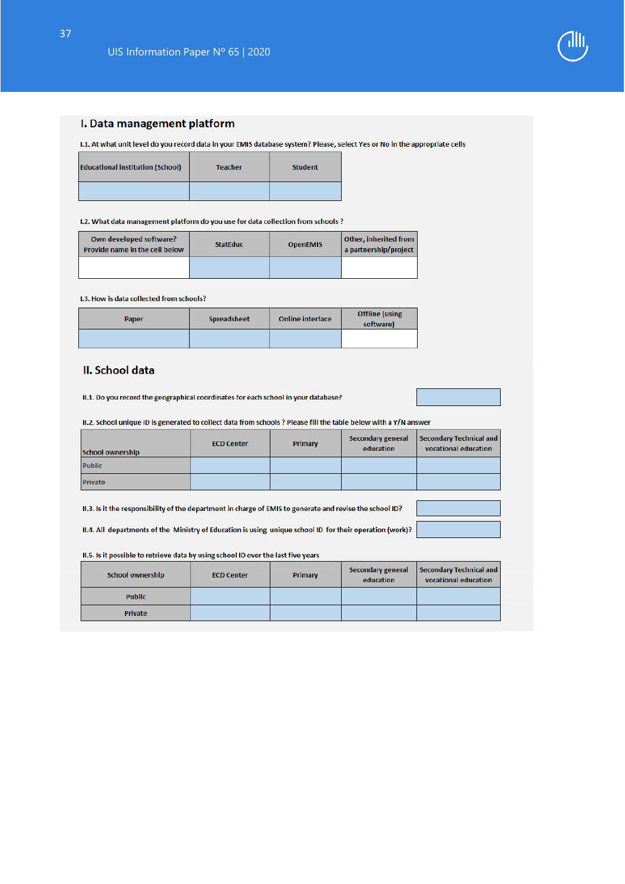

#### I. Data management platform

I.1. At what unit level do you record data in your EMIS database system? Please, select Yes or No in the appropriate cells

| <b>Educational institution (School)</b> | <b>Teacher</b> | <b>Student</b> |
|-----------------------------------------|----------------|----------------|
|                                         |                |                |

I.2. What data management platform do you use for data collection from schools ?

| Own developed software?<br>Provide name in the cell below | <b>StatEduc</b> | <b>OpenEMIS</b> | Other, inherited from<br>a partnership/project |
|-----------------------------------------------------------|-----------------|-----------------|------------------------------------------------|
|                                                           |                 |                 |                                                |

#### 1.3. How is data collected from schools?

| Paper | <b>Spreadsheet</b> | <b>Online interface</b> | <b>Offline</b> (using<br>software) |
|-------|--------------------|-------------------------|------------------------------------|
|       |                    |                         |                                    |

#### II. School data

II.1. Do you record the geographical coordinates for each school in your database?

II.2. School unique ID is generated to collect data from schools ? Please fill the table below with a Y/N answer

| <b>School ownership</b> | <b>ECD Center</b> | Primary | Secondary general<br>education | Secondary Technical and<br>vocational education |
|-------------------------|-------------------|---------|--------------------------------|-------------------------------------------------|
| Public                  |                   |         |                                |                                                 |
| Private                 |                   |         |                                |                                                 |

II.3. Is it the responsibility of the department in charge of EMIS to generate and revise the school ID?

II.4. All departments of the Ministry of Education is using unique school ID for their operation (work)?

II.5. Is it possible to retrieve data by using school ID over the last five years

| <b>School ownership</b> | <b>ECD Center</b> | Primary | <b>Secondary general</b><br>education | Secondary Technical and<br>vocational education |
|-------------------------|-------------------|---------|---------------------------------------|-------------------------------------------------|
| <b>Public</b>           |                   |         |                                       |                                                 |
| <b>Private</b>          |                   |         |                                       |                                                 |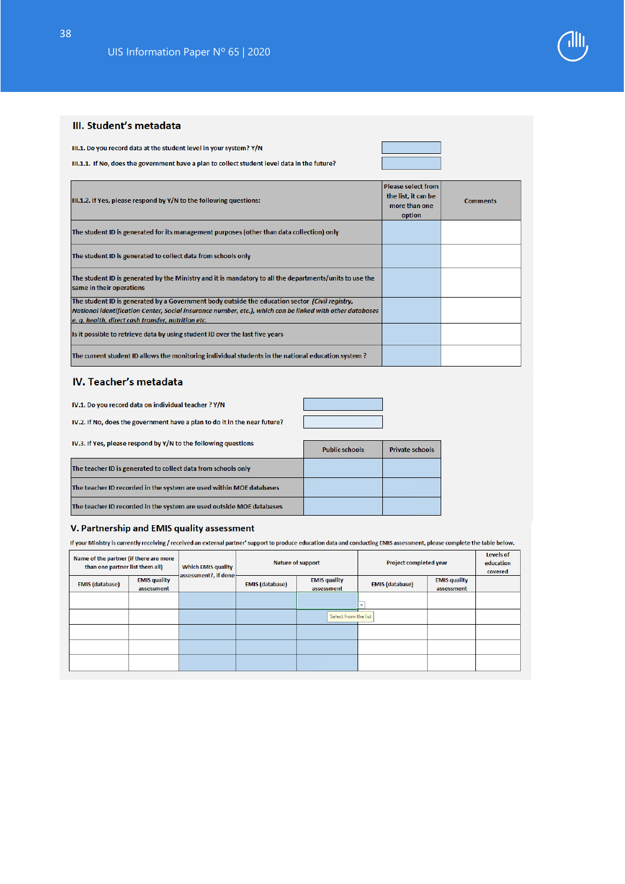#### III. Student's metadata

III.1. Do you record data at the student level in your system? Y/N

III.1.1. If No, does the government have a plan to collect student level data in the future?

| III.1.2. If Yes, please respond by Y/N to the following questions:                                                                                             | <b>Please select from</b><br>the list, it can be<br>more than one<br>option | <b>Comments</b> |
|----------------------------------------------------------------------------------------------------------------------------------------------------------------|-----------------------------------------------------------------------------|-----------------|
| The student ID is generated for its management purposes (other than data collection) only                                                                      |                                                                             |                 |
| The student ID is generated to collect data from schools only                                                                                                  |                                                                             |                 |
| The student ID is generated by the Ministry and it is mandatory to all the departments/units to use the<br>same in their operations                            |                                                                             |                 |
| The student ID is generated by a Government body outside the education sector (Civil registry,                                                                 |                                                                             |                 |
| National identification Center, Social insurance number, etc.), which can be linked with other databases<br>e. q. health, direct cash transfer, nutrition etc. |                                                                             |                 |
| Is it possible to retrieve data by using student ID over the last five years                                                                                   |                                                                             |                 |
| The current student ID allows the monitoring individual students in the national education system?                                                             |                                                                             |                 |

#### **IV. Teacher's metadata**

| IV.1. Do you record data on individual teacher ? Y/N                                                                                                                                                                                                                                                                                                             |  |
|------------------------------------------------------------------------------------------------------------------------------------------------------------------------------------------------------------------------------------------------------------------------------------------------------------------------------------------------------------------|--|
| IV.2. If No, does the government have a plan to do it in the near future?                                                                                                                                                                                                                                                                                        |  |
| $\mathbf{u} \cdot \mathbf{w}$ , and $\mathbf{u} \cdot \mathbf{w}$ , and $\mathbf{u} \cdot \mathbf{w}$ , and $\mathbf{v} \cdot \mathbf{w}$ , and $\mathbf{v} \cdot \mathbf{w}$ , and $\mathbf{v} \cdot \mathbf{w}$ , and $\mathbf{v} \cdot \mathbf{w}$ , and $\mathbf{v} \cdot \mathbf{w}$ , and $\mathbf{v} \cdot \mathbf{w}$ , and $\mathbf{v} \cdot \mathbf{w$ |  |

| TV.3. If yes, please respond by Y/N to the following questions       | <b>Public schools</b> | <b>Private schools</b> |
|----------------------------------------------------------------------|-----------------------|------------------------|
| The teacher ID is generated to collect data from schools only        |                       |                        |
| The teacher ID recorded in the system are used within MOE databases  |                       |                        |
| The teacher ID recorded in the system are used outside MOE databases |                       |                        |

#### V. Partnership and EMIS quality assessment

If your Ministry is currently receiving / received an external partner' support to produce education data and conducting EMIS assessment, please complete the table below.

| Name of the partner (if there are more<br>than one partner list them all) |                                   | <b>Which EMIS quality</b><br>assessment?, if done | <b>Nature of support</b> |                                   | Project completed year |                                   | Levels of<br>education<br>covered |
|---------------------------------------------------------------------------|-----------------------------------|---------------------------------------------------|--------------------------|-----------------------------------|------------------------|-----------------------------------|-----------------------------------|
| <b>EMIS</b> (database)                                                    | <b>EMIS quality</b><br>assessment |                                                   | <b>EMIS (database)</b>   | <b>EMIS quality</b><br>assessment | <b>EMIS</b> (database) | <b>EMIS quality</b><br>assessment |                                   |
|                                                                           |                                   |                                                   |                          |                                   |                        |                                   |                                   |
|                                                                           |                                   |                                                   |                          | Select from the list              |                        |                                   |                                   |
|                                                                           |                                   |                                                   |                          |                                   |                        |                                   |                                   |
|                                                                           |                                   |                                                   |                          |                                   |                        |                                   |                                   |
|                                                                           |                                   |                                                   |                          |                                   |                        |                                   |                                   |



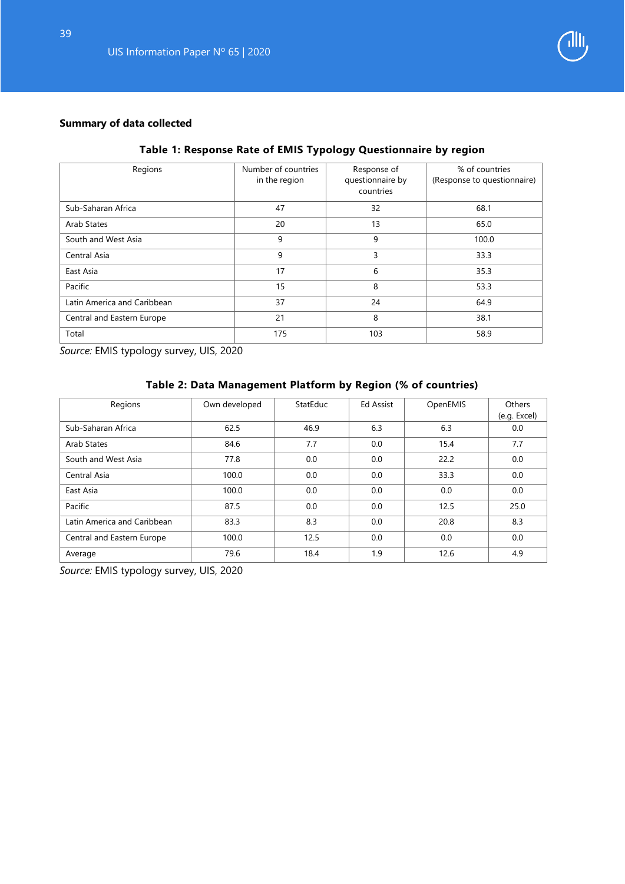

# **Summary of data collected**

# **Table 1: Response Rate of EMIS Typology Questionnaire by region**

| Regions                     | Number of countries<br>in the region | Response of<br>questionnaire by<br>countries | % of countries<br>(Response to questionnaire) |
|-----------------------------|--------------------------------------|----------------------------------------------|-----------------------------------------------|
| Sub-Saharan Africa          | 47                                   | 32                                           | 68.1                                          |
| Arab States                 | 20                                   | 13                                           | 65.0                                          |
| South and West Asia         | 9                                    | 9                                            | 100.0                                         |
| Central Asia                | 9                                    | 3                                            | 33.3                                          |
| East Asia                   | 17                                   | 6                                            | 35.3                                          |
| Pacific                     | 15                                   | 8                                            | 53.3                                          |
| Latin America and Caribbean | 37                                   | 24                                           | 64.9                                          |
| Central and Eastern Europe  | 21                                   | 8                                            | 38.1                                          |
| Total                       | 175                                  | 103                                          | 58.9                                          |

*Source:* EMIS typology survey, UIS, 2020

# **Table 2: Data Management Platform by Region (% of countries)**

| Regions                     | Own developed | <b>StatEduc</b> | <b>Ed Assist</b> | OpenEMIS | Others<br>(e.g. Excel) |
|-----------------------------|---------------|-----------------|------------------|----------|------------------------|
| Sub-Saharan Africa          | 62.5          | 46.9            | 6.3              | 6.3      | 0.0                    |
| Arab States                 | 84.6          | 7.7             | 0.0              | 15.4     | 7.7                    |
| South and West Asia         | 77.8          | 0.0             | 0.0              | 22.2     | 0.0                    |
| Central Asia                | 100.0         | 0.0             | 0.0              | 33.3     | 0.0                    |
| East Asia                   | 100.0         | 0.0             | 0.0              | 0.0      | 0.0                    |
| Pacific                     | 87.5          | 0.0             | 0.0              | 12.5     | 25.0                   |
| Latin America and Caribbean | 83.3          | 8.3             | 0.0              | 20.8     | 8.3                    |
| Central and Eastern Europe  | 100.0         | 12.5            | 0.0              | 0.0      | 0.0                    |
| Average                     | 79.6          | 18.4            | 1.9              | 12.6     | 4.9                    |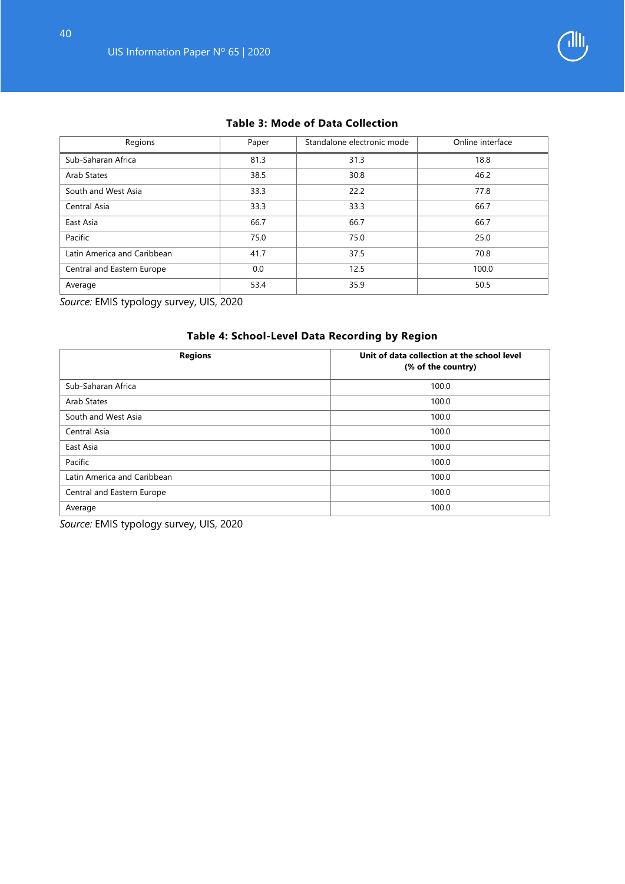

# **Table 3: Mode of Data Collection**

| Regions                     | Paper | Standalone electronic mode | Online interface |
|-----------------------------|-------|----------------------------|------------------|
| Sub-Saharan Africa          | 81.3  | 31.3                       | 18.8             |
| Arab States                 | 38.5  | 30.8                       | 46.2             |
| South and West Asia         | 33.3  | 22.2                       | 77.8             |
| Central Asia                | 33.3  | 33.3                       | 66.7             |
| East Asia                   | 66.7  | 66.7                       | 66.7             |
| Pacific                     | 75.0  | 75.0                       | 25.0             |
| Latin America and Caribbean | 41.7  | 37.5                       | 70.8             |
| Central and Eastern Europe  | 0.0   | 12.5                       | 100.0            |
| Average                     | 53.4  | 35.9                       | 50.5             |

*Source:* EMIS typology survey, UIS, 2020

# **Table 4: School-Level Data Recording by Region Regions Letter Collection at the school level (% of the country)** Sub-Saharan Africa 100.0 Arab States 100.0 South and West Asia 100.0 Central Asia 100.0 East Asia 100.0 Pacific 100.0 Latin America and Caribbean 100.0 **Central and Eastern Europe 100.0** 100.0 Average 100.0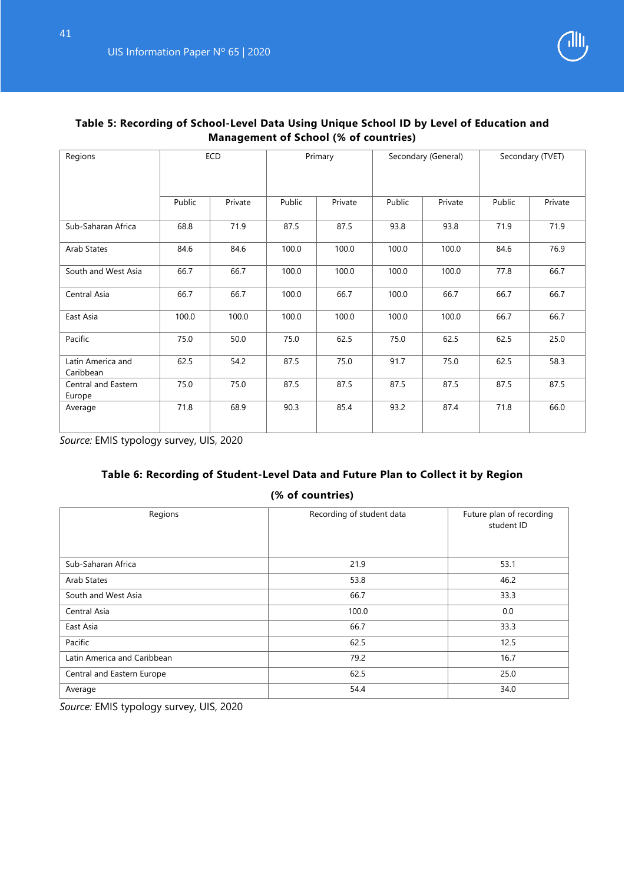

| Regions                        |        | ECD     | Primary<br>Secondary (General)<br>Secondary (TVET) |         |        |         |        |         |
|--------------------------------|--------|---------|----------------------------------------------------|---------|--------|---------|--------|---------|
|                                | Public | Private | Public                                             | Private | Public | Private | Public | Private |
| Sub-Saharan Africa             | 68.8   | 71.9    | 87.5                                               | 87.5    | 93.8   | 93.8    | 71.9   | 71.9    |
| Arab States                    | 84.6   | 84.6    | 100.0                                              | 100.0   | 100.0  | 100.0   | 84.6   | 76.9    |
| South and West Asia            | 66.7   | 66.7    | 100.0                                              | 100.0   | 100.0  | 100.0   | 77.8   | 66.7    |
| Central Asia                   | 66.7   | 66.7    | 100.0                                              | 66.7    | 100.0  | 66.7    | 66.7   | 66.7    |
| East Asia                      | 100.0  | 100.0   | 100.0                                              | 100.0   | 100.0  | 100.0   | 66.7   | 66.7    |
| Pacific                        | 75.0   | 50.0    | 75.0                                               | 62.5    | 75.0   | 62.5    | 62.5   | 25.0    |
| Latin America and<br>Caribbean | 62.5   | 54.2    | 87.5                                               | 75.0    | 91.7   | 75.0    | 62.5   | 58.3    |
| Central and Eastern<br>Europe  | 75.0   | 75.0    | 87.5                                               | 87.5    | 87.5   | 87.5    | 87.5   | 87.5    |
| Average                        | 71.8   | 68.9    | 90.3                                               | 85.4    | 93.2   | 87.4    | 71.8   | 66.0    |

#### **Table 5: Recording of School-Level Data Using Unique School ID by Level of Education and Management of School (% of countries)**

*Source:* EMIS typology survey, UIS, 2020

# **Table 6: Recording of Student-Level Data and Future Plan to Collect it by Region (% of countries)**

| Regions                     | Recording of student data | Future plan of recording<br>student ID |
|-----------------------------|---------------------------|----------------------------------------|
| Sub-Saharan Africa          | 21.9                      | 53.1                                   |
| Arab States                 | 53.8                      | 46.2                                   |
| South and West Asia         | 66.7                      | 33.3                                   |
| Central Asia                | 100.0                     | 0.0                                    |
| East Asia                   | 66.7                      | 33.3                                   |
| Pacific                     | 62.5                      | 12.5                                   |
| Latin America and Caribbean | 79.2                      | 16.7                                   |
| Central and Eastern Europe  | 62.5                      | 25.0                                   |
| Average                     | 54.4                      | 34.0                                   |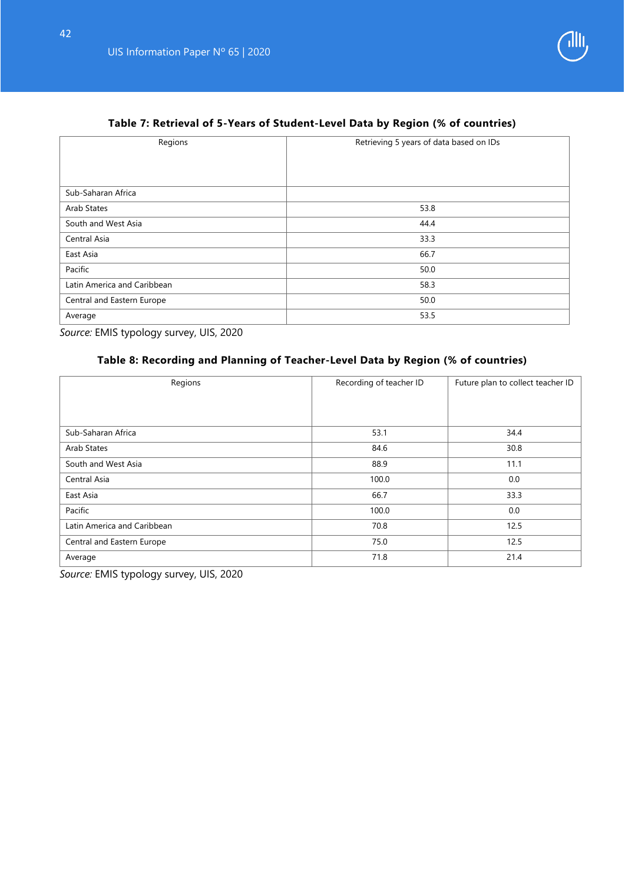

# **Table 7: Retrieval of 5-Years of Student-Level Data by Region (% of countries)**

| Regions                     | Retrieving 5 years of data based on IDs |
|-----------------------------|-----------------------------------------|
|                             |                                         |
|                             |                                         |
| Sub-Saharan Africa          |                                         |
| Arab States                 | 53.8                                    |
| South and West Asia         | 44.4                                    |
| Central Asia                | 33.3                                    |
| East Asia                   | 66.7                                    |
| Pacific                     | 50.0                                    |
| Latin America and Caribbean | 58.3                                    |
| Central and Eastern Europe  | 50.0                                    |
| Average                     | 53.5                                    |

*Source:* EMIS typology survey, UIS, 2020

#### **Table 8: Recording and Planning of Teacher-Level Data by Region (% of countries)**

| Regions                     | Recording of teacher ID | Future plan to collect teacher ID |
|-----------------------------|-------------------------|-----------------------------------|
|                             |                         |                                   |
|                             |                         |                                   |
| Sub-Saharan Africa          | 53.1                    | 34.4                              |
| Arab States                 | 84.6                    | 30.8                              |
| South and West Asia         | 88.9                    | 11.1                              |
| Central Asia                | 100.0                   | 0.0                               |
| East Asia                   | 66.7                    | 33.3                              |
| Pacific                     | 100.0                   | 0.0                               |
| Latin America and Caribbean | 70.8                    | 12.5                              |
| Central and Eastern Europe  | 75.0                    | 12.5                              |
| Average                     | 71.8                    | 21.4                              |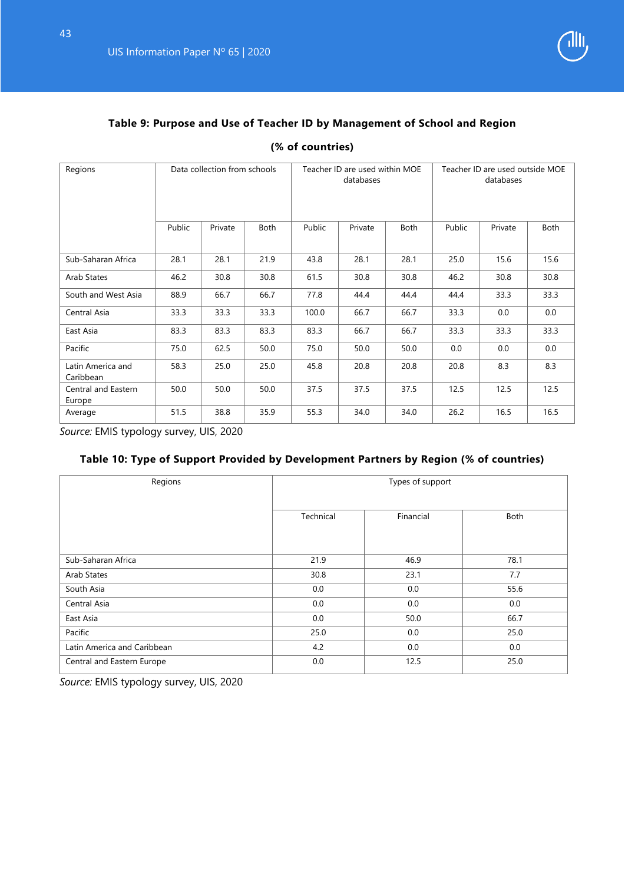

# **Table 9: Purpose and Use of Teacher ID by Management of School and Region**

|  | (% of countries) |
|--|------------------|
|--|------------------|

| Regions                        |        | Data collection from schools<br>Teacher ID are used within MOE<br>Teacher ID are used outside MOE<br>databases<br>databases |      |        |         |             |        |         |      |
|--------------------------------|--------|-----------------------------------------------------------------------------------------------------------------------------|------|--------|---------|-------------|--------|---------|------|
|                                | Public | Private                                                                                                                     | Both | Public | Private | <b>Both</b> | Public | Private | Both |
| Sub-Saharan Africa             | 28.1   | 28.1                                                                                                                        | 21.9 | 43.8   | 28.1    | 28.1        | 25.0   | 15.6    | 15.6 |
| Arab States                    | 46.2   | 30.8                                                                                                                        | 30.8 | 61.5   | 30.8    | 30.8        | 46.2   | 30.8    | 30.8 |
| South and West Asia            | 88.9   | 66.7                                                                                                                        | 66.7 | 77.8   | 44.4    | 44.4        | 44.4   | 33.3    | 33.3 |
| Central Asia                   | 33.3   | 33.3                                                                                                                        | 33.3 | 100.0  | 66.7    | 66.7        | 33.3   | 0.0     | 0.0  |
| East Asia                      | 83.3   | 83.3                                                                                                                        | 83.3 | 83.3   | 66.7    | 66.7        | 33.3   | 33.3    | 33.3 |
| Pacific                        | 75.0   | 62.5                                                                                                                        | 50.0 | 75.0   | 50.0    | 50.0        | 0.0    | 0.0     | 0.0  |
| Latin America and<br>Caribbean | 58.3   | 25.0                                                                                                                        | 25.0 | 45.8   | 20.8    | 20.8        | 20.8   | 8.3     | 8.3  |
| Central and Eastern<br>Europe  | 50.0   | 50.0                                                                                                                        | 50.0 | 37.5   | 37.5    | 37.5        | 12.5   | 12.5    | 12.5 |
| Average                        | 51.5   | 38.8                                                                                                                        | 35.9 | 55.3   | 34.0    | 34.0        | 26.2   | 16.5    | 16.5 |

*Source:* EMIS typology survey, UIS, 2020

# **Table 10: Type of Support Provided by Development Partners by Region (% of countries)**

| Regions                     | Types of support |           |      |  |  |
|-----------------------------|------------------|-----------|------|--|--|
|                             | Technical        | Financial | Both |  |  |
| Sub-Saharan Africa          | 21.9             | 46.9      | 78.1 |  |  |
| Arab States                 | 30.8             | 23.1      | 7.7  |  |  |
| South Asia                  | 0.0              | 0.0       | 55.6 |  |  |
| Central Asia                | 0.0              | 0.0       | 0.0  |  |  |
| East Asia                   | 0.0              | 50.0      | 66.7 |  |  |
| Pacific                     | 25.0             | 0.0       | 25.0 |  |  |
| Latin America and Caribbean | 4.2              | 0.0       | 0.0  |  |  |
| Central and Eastern Europe  | 0.0              | 12.5      | 25.0 |  |  |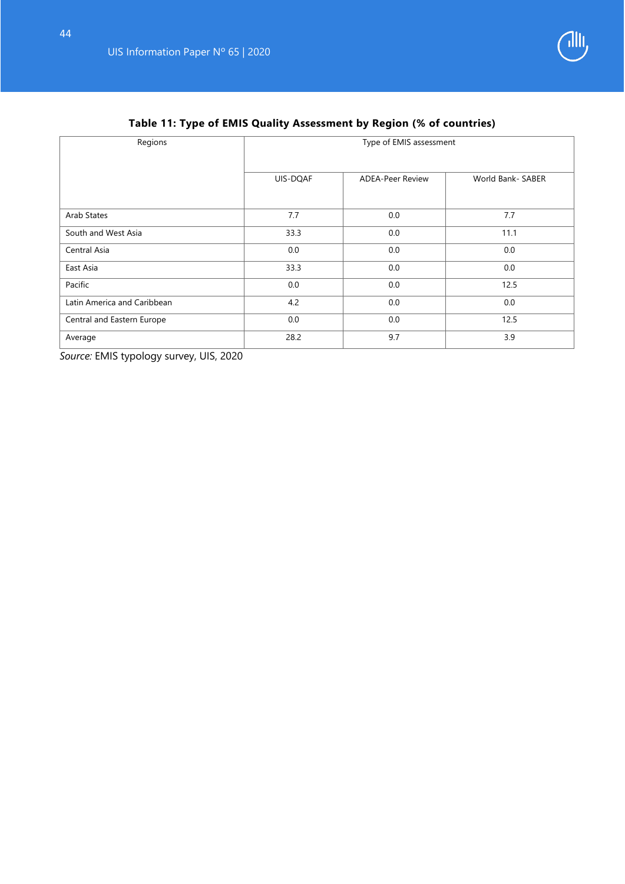

| Regions                     | Type of EMIS assessment |                         |                   |  |  |
|-----------------------------|-------------------------|-------------------------|-------------------|--|--|
|                             | UIS-DQAF                | <b>ADEA-Peer Review</b> | World Bank- SABER |  |  |
| Arab States                 | 7.7                     | 0.0                     | 7.7               |  |  |
| South and West Asia         | 33.3                    | 0.0                     | 11.1              |  |  |
| Central Asia                | 0.0                     | 0.0                     | 0.0               |  |  |
| East Asia                   | 33.3                    | 0.0                     | 0.0               |  |  |
| Pacific                     | 0.0                     | 0.0                     | 12.5              |  |  |
| Latin America and Caribbean | 4.2                     | 0.0                     | 0.0               |  |  |
| Central and Eastern Europe  | 0.0                     | 0.0                     | 12.5              |  |  |
| Average                     | 28.2                    | 9.7                     | 3.9               |  |  |

# **Table 11: Type of EMIS Quality Assessment by Region (% of countries)**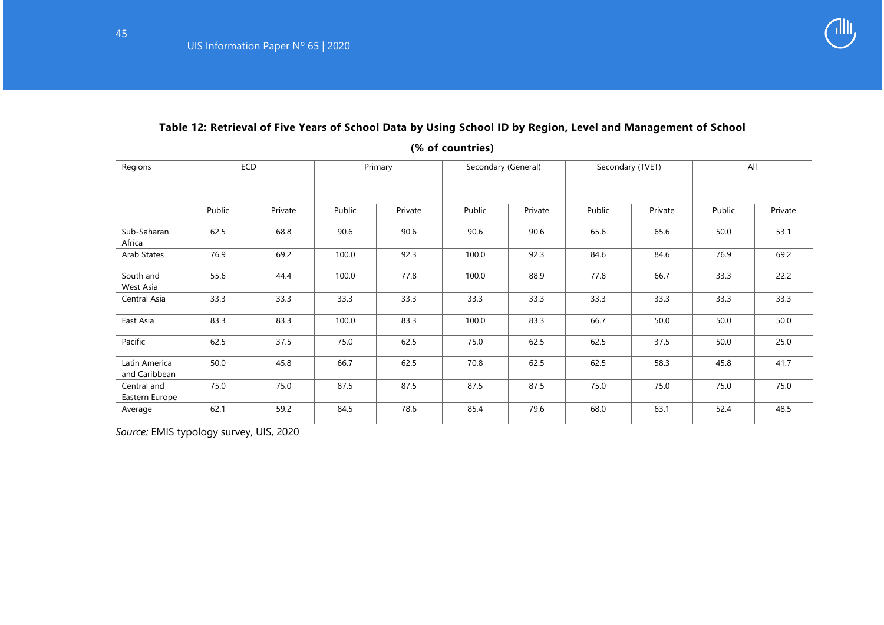# **Table 12: Retrieval of Five Years of School Data by Using School ID by Region, Level and Management of School**

**(% of countries)**

| Regions                        | ECD    |         | Primary |         | Secondary (General) |         | Secondary (TVET) |         | All    |         |
|--------------------------------|--------|---------|---------|---------|---------------------|---------|------------------|---------|--------|---------|
|                                | Public | Private | Public  | Private | Public              | Private | Public           | Private | Public | Private |
| Sub-Saharan<br>Africa          | 62.5   | 68.8    | 90.6    | 90.6    | 90.6                | 90.6    | 65.6             | 65.6    | 50.0   | 53.1    |
| Arab States                    | 76.9   | 69.2    | 100.0   | 92.3    | 100.0               | 92.3    | 84.6             | 84.6    | 76.9   | 69.2    |
| South and<br>West Asia         | 55.6   | 44.4    | 100.0   | 77.8    | 100.0               | 88.9    | 77.8             | 66.7    | 33.3   | 22.2    |
| Central Asia                   | 33.3   | 33.3    | 33.3    | 33.3    | 33.3                | 33.3    | 33.3             | 33.3    | 33.3   | 33.3    |
| East Asia                      | 83.3   | 83.3    | 100.0   | 83.3    | 100.0               | 83.3    | 66.7             | 50.0    | 50.0   | 50.0    |
| Pacific                        | 62.5   | 37.5    | 75.0    | 62.5    | 75.0                | 62.5    | 62.5             | 37.5    | 50.0   | 25.0    |
| Latin America<br>and Caribbean | 50.0   | 45.8    | 66.7    | 62.5    | 70.8                | 62.5    | 62.5             | 58.3    | 45.8   | 41.7    |
| Central and<br>Eastern Europe  | 75.0   | 75.0    | 87.5    | 87.5    | 87.5                | 87.5    | 75.0             | 75.0    | 75.0   | 75.0    |
| Average                        | 62.1   | 59.2    | 84.5    | 78.6    | 85.4                | 79.6    | 68.0             | 63.1    | 52.4   | 48.5    |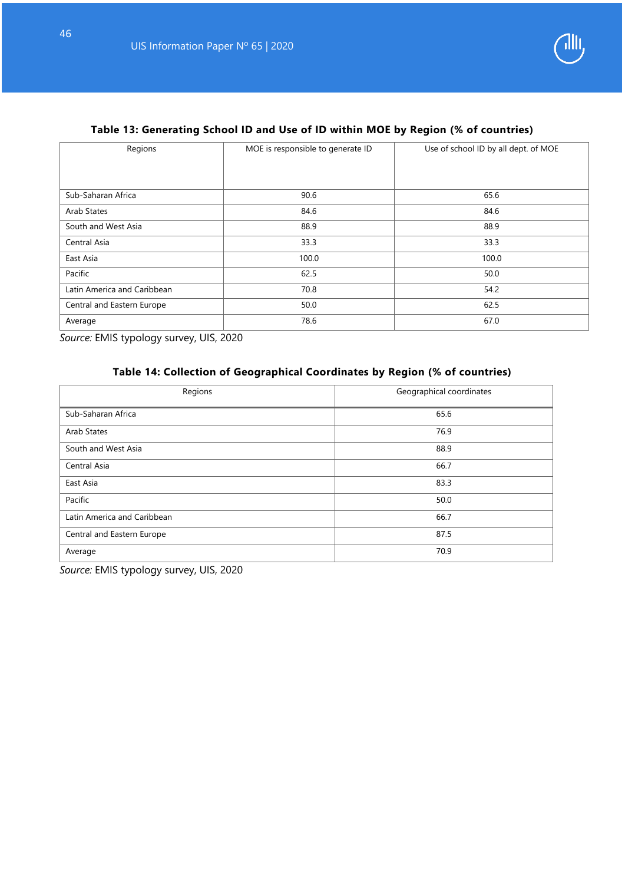

# **Table 13: Generating School ID and Use of ID within MOE by Region (% of countries)**

| Regions                     | MOE is responsible to generate ID | Use of school ID by all dept. of MOE |  |  |  |
|-----------------------------|-----------------------------------|--------------------------------------|--|--|--|
|                             |                                   |                                      |  |  |  |
|                             |                                   |                                      |  |  |  |
| Sub-Saharan Africa          | 90.6                              | 65.6                                 |  |  |  |
| Arab States                 | 84.6                              | 84.6                                 |  |  |  |
| South and West Asia         | 88.9                              | 88.9                                 |  |  |  |
| Central Asia                | 33.3                              | 33.3                                 |  |  |  |
| East Asia                   | 100.0                             | 100.0                                |  |  |  |
| Pacific                     | 62.5                              | 50.0                                 |  |  |  |
| Latin America and Caribbean | 70.8                              | 54.2                                 |  |  |  |
| Central and Eastern Europe  | 50.0                              | 62.5                                 |  |  |  |
| Average                     | 78.6                              | 67.0                                 |  |  |  |

*Source:* EMIS typology survey, UIS, 2020

# **Table 14: Collection of Geographical Coordinates by Region (% of countries)**

| Regions                     | Geographical coordinates |
|-----------------------------|--------------------------|
| Sub-Saharan Africa          | 65.6                     |
| Arab States                 | 76.9                     |
| South and West Asia         | 88.9                     |
| Central Asia                | 66.7                     |
| East Asia                   | 83.3                     |
| Pacific                     | 50.0                     |
| Latin America and Caribbean | 66.7                     |
| Central and Eastern Europe  | 87.5                     |
| Average                     | 70.9                     |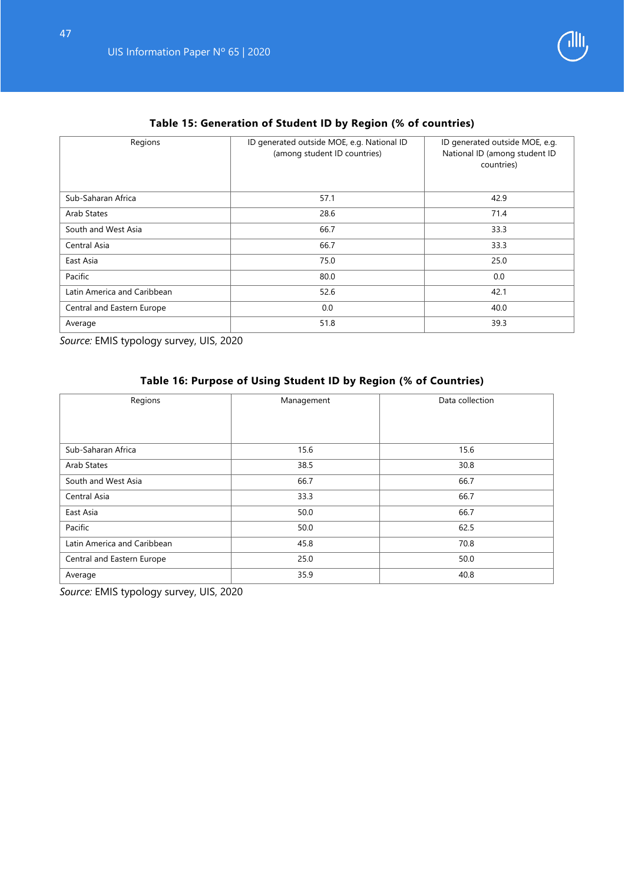

# **Table 15: Generation of Student ID by Region (% of countries)**

| Regions                     | ID generated outside MOE, e.g. National ID<br>(among student ID countries) | ID generated outside MOE, e.g.<br>National ID (among student ID<br>countries) |  |
|-----------------------------|----------------------------------------------------------------------------|-------------------------------------------------------------------------------|--|
| Sub-Saharan Africa          | 57.1                                                                       | 42.9                                                                          |  |
| Arab States                 | 28.6                                                                       | 71.4                                                                          |  |
| South and West Asia         | 66.7                                                                       | 33.3                                                                          |  |
| Central Asia                | 66.7                                                                       | 33.3                                                                          |  |
| East Asia                   | 75.0                                                                       | 25.0                                                                          |  |
| Pacific                     | 80.0                                                                       | 0.0                                                                           |  |
| Latin America and Caribbean | 52.6                                                                       | 42.1                                                                          |  |
| Central and Eastern Europe  | 0.0                                                                        | 40.0                                                                          |  |
| Average                     | 51.8                                                                       | 39.3                                                                          |  |

*Source:* EMIS typology survey, UIS, 2020

# **Table 16: Purpose of Using Student ID by Region (% of Countries)**

| Regions                     | Management | Data collection |  |  |
|-----------------------------|------------|-----------------|--|--|
|                             |            |                 |  |  |
|                             |            |                 |  |  |
| Sub-Saharan Africa          | 15.6       | 15.6            |  |  |
| Arab States                 | 38.5       | 30.8            |  |  |
| South and West Asia         | 66.7       | 66.7            |  |  |
| Central Asia                | 33.3       | 66.7            |  |  |
| East Asia                   | 50.0       | 66.7            |  |  |
| Pacific                     | 50.0       | 62.5            |  |  |
| Latin America and Caribbean | 45.8       | 70.8            |  |  |
| Central and Eastern Europe  | 25.0       | 50.0            |  |  |
| Average                     | 35.9       | 40.8            |  |  |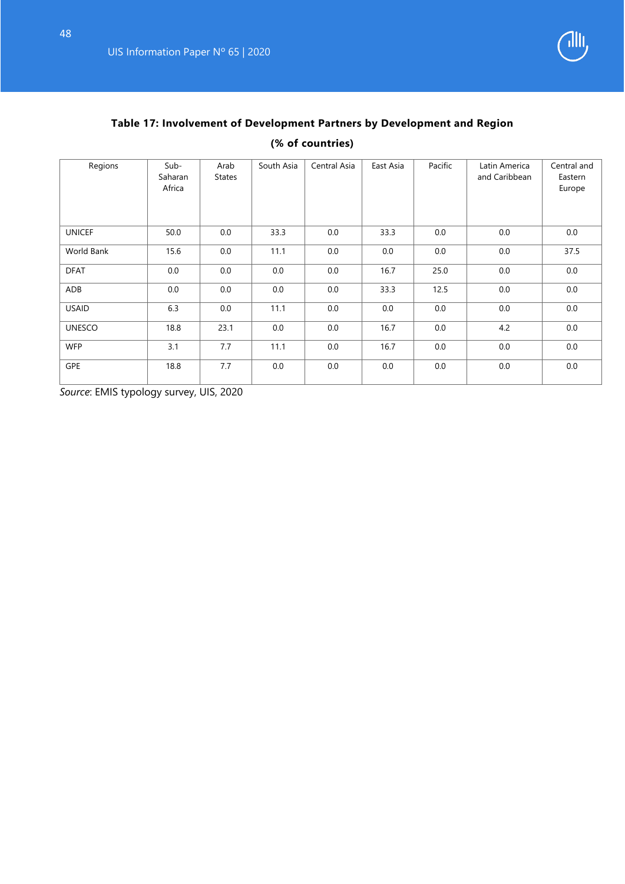

# **Table 17: Involvement of Development Partners by Development and Region**

# **(% of countries)**

| Regions           | Sub-<br>Saharan<br>Africa | Arab<br><b>States</b> | South Asia | Central Asia | East Asia | Pacific | Latin America<br>and Caribbean | Central and<br>Eastern<br>Europe |
|-------------------|---------------------------|-----------------------|------------|--------------|-----------|---------|--------------------------------|----------------------------------|
| <b>UNICEF</b>     | 50.0                      | 0.0                   | 33.3       | 0.0          | 33.3      | 0.0     | 0.0                            | 0.0                              |
| <b>World Bank</b> | 15.6                      | 0.0                   | 11.1       | 0.0          | 0.0       | 0.0     | 0.0                            | 37.5                             |
| <b>DFAT</b>       | 0.0                       | 0.0                   | 0.0        | 0.0          | 16.7      | 25.0    | 0.0                            | 0.0                              |
| ADB               | 0.0                       | 0.0                   | 0.0        | 0.0          | 33.3      | 12.5    | 0.0                            | 0.0                              |
| <b>USAID</b>      | 6.3                       | 0.0                   | 11.1       | 0.0          | 0.0       | 0.0     | 0.0                            | 0.0                              |
| <b>UNESCO</b>     | 18.8                      | 23.1                  | 0.0        | 0.0          | 16.7      | 0.0     | 4.2                            | 0.0                              |
| <b>WFP</b>        | 3.1                       | 7.7                   | 11.1       | 0.0          | 16.7      | 0.0     | 0.0                            | 0.0                              |
| <b>GPE</b>        | 18.8                      | 7.7                   | 0.0        | 0.0          | 0.0       | 0.0     | 0.0                            | 0.0                              |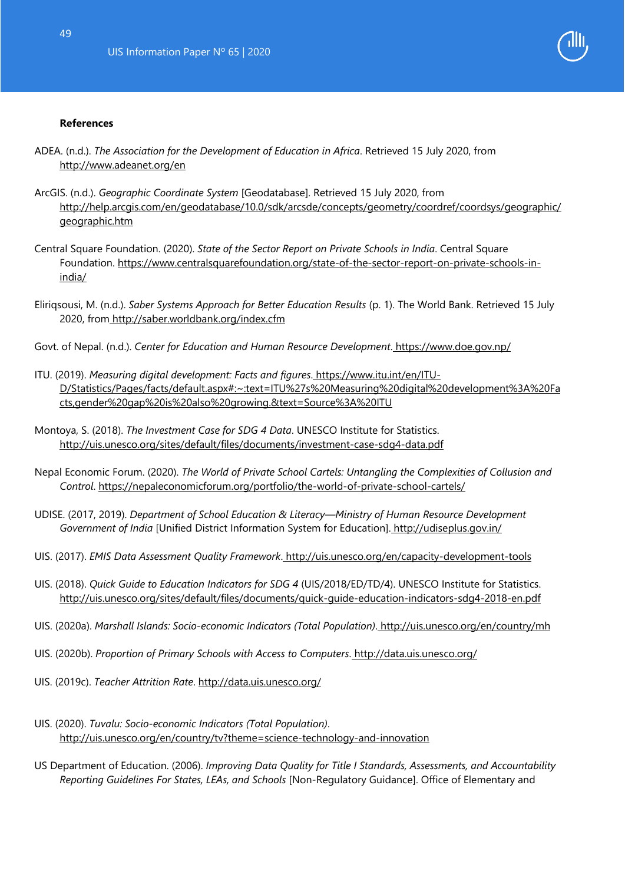

#### <span id="page-49-0"></span>**References**

- ADEA. (n.d.). *The Association for the Development of Education in Africa*. Retrieved 15 July 2020, fro[m](http://www.adeanet.org/en) <http://www.adeanet.org/en>
- ArcGIS. (n.d.). *Geographic Coordinate System* [Geodatabase]. Retrieved 15 July 2020, from http://help.arcgis.com/en/geodatabase/10.0/sdk/arcsde/concepts/geometry/coordref/coordsys/geographic/ geographic.htm
- Central Square Foundation. (2020). *State of the Sector Report on Private Schools in India*. Central Square Foundation. [https://www.centralsquarefoundation.org/state-of-the-sector-report-on-private-schools-in](https://www.centralsquarefoundation.org/state-of-the-sector-report-on-private-schools-in-india/)[india/](https://www.centralsquarefoundation.org/state-of-the-sector-report-on-private-schools-in-india/)
- Eliriqsousi, M. (n.d.). *Saber Systems Approach for Better Education Results* (p. 1). The World Bank. Retrieved 15 July 2020, fro[m http://saber.worldbank.org/index.cfm](http://saber.worldbank.org/index.cfm)
- Govt. of Nepal. (n.d.). *Center for Education and Human Resource Development*. <https://www.doe.gov.np/>
- ITU. (2019). *Measuring digital development: Facts and figures*. [https://www.itu.int/en/ITU-](https://www.itu.int/en/ITU-D/Statistics/Pages/facts/default.aspx#:%7E:text=ITU%27s%20Measuring%20digital%20development%3A%20Facts,gender%20gap%20is%20also%20growing.&text=Source%3A%20ITU)[D/Statistics/Pages/facts/default.aspx#:~:text=ITU%27s%20Measuring%20digital%20development%3A%20Fa](https://www.itu.int/en/ITU-D/Statistics/Pages/facts/default.aspx#:%7E:text=ITU%27s%20Measuring%20digital%20development%3A%20Facts,gender%20gap%20is%20also%20growing.&text=Source%3A%20ITU) [cts,gender%20gap%20is%20also%20growing.&text=Source%3A%20ITU](https://www.itu.int/en/ITU-D/Statistics/Pages/facts/default.aspx#:%7E:text=ITU%27s%20Measuring%20digital%20development%3A%20Facts,gender%20gap%20is%20also%20growing.&text=Source%3A%20ITU)
- Montoya, S. (2018). *The Investment Case for SDG 4 Data*. UNESCO Institute for Statistic[s.](http://uis.unesco.org/sites/default/files/documents/investment-case-sdg4-data.pdf) <http://uis.unesco.org/sites/default/files/documents/investment-case-sdg4-data.pdf>
- Nepal Economic Forum. (2020). *The World of Private School Cartels: Untangling the Complexities of Collusion and Control*.<https://nepaleconomicforum.org/portfolio/the-world-of-private-school-cartels/>
- UDISE. (2017, 2019). *Department of School Education & Literacy—Ministry of Human Resource Development Government of India* [Unified District Information System for Education]. <http://udiseplus.gov.in/>
- UIS. (2017). *EMIS Data Assessment Quality Framework*. <http://uis.unesco.org/en/capacity-development-tools>
- UIS. (2018). *Quick Guide to Education Indicators for SDG 4* (UIS/2018/ED/TD/4). UNESCO Institute for Statistic[s.](http://uis.unesco.org/sites/default/files/documents/quick-guide-education-indicators-sdg4-2018-en.pdf) <http://uis.unesco.org/sites/default/files/documents/quick-guide-education-indicators-sdg4-2018-en.pdf>
- UIS. (2020a). *Marshall Islands: Socio-economic Indicators (Total Population)*. <http://uis.unesco.org/en/country/mh>
- UIS. (2020b). *Proportion of Primary Schools with Access to Computers*. <http://data.uis.unesco.org/>
- UIS. (2019c). *Teacher Attrition Rate*.<http://data.uis.unesco.org/>
- UIS. (2020). *Tuvalu: Socio-economic Indicators (Total Population)*[.](http://uis.unesco.org/en/country/tv?theme=science-technology-and-innovation) <http://uis.unesco.org/en/country/tv?theme=science-technology-and-innovation>
- US Department of Education. (2006). *Improving Data Quality for Title I Standards, Assessments, and Accountability Reporting Guidelines For States, LEAs, and Schools* [Non-Regulatory Guidance]. Office of Elementary and